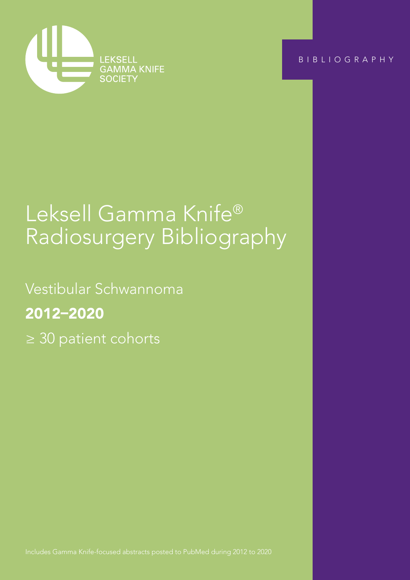

BIBLIOGRAPHY

Vestibular Schwannoma ≥ 30 patient cohorts

# Leksell Gamma Knife® Radiosurgery Bibliography

Vestibular Schwannoma 2012–2020 ≥ 30 patient cohorts

Includes Gamma Knife-focused abstracts posted to PubMed during 2012 to 2020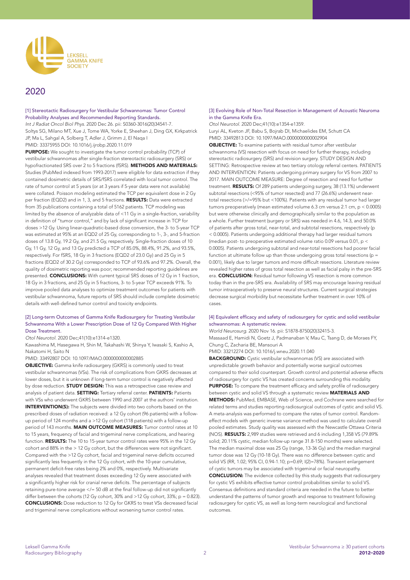

# 2020

[1] Stereotactic Radiosurgery for Vestibular Schwannomas: Tumor Control Probability Analyses and Recommended Reporting Standards. *Int J Radiat Oncol Biol Phys*. 2020 Dec 26. pii: S0360-3016(20)34541-7. Soltys SG, Milano MT, Xue J, Tome WA, Yorke E, Sheehan J, Ding GX, Kirkpatrick JP, Ma L, Sahgal A, Solberg T, Adler J, Grimm J, El Naqa I PMID: 33375955 DOI: 10.1016/j.ijrobp.2020.11.019

PURPOSE: We sought to investigate the tumor control probability (TCP) of vestibular schwannomas after single-fraction stereotactic radiosurgery (SRS) or hypofractionated SRS over 2 to 5 fractions (fSRS). METHODS AND MATERIALS: Studies (PubMed indexed from 1993-2017) were eligible for data extraction if they contained dosimetric details of SRS/fSRS correlated with local tumor control. The rate of tumor control at 5 years (or at 3 years if 5-year data were not available) were collated. Poisson modeling estimated the TCP per equivalent dose in 2 Gy per fraction (EQD2) and in 1, 3, and 5 fractions. RESULTS: Data were extracted from 35 publications containing a total of 5162 patients. TCP modeling was limited by the absence of analyzable data of <11 Gy in a single-fraction, variability in definition of "tumor control," and by lack of significant increase in TCP for doses >12 Gy. Using linear-quadratic-based dose conversion, the 3- to 5-year TCP was estimated at 95% at an EQD2 of 25 Gy, corresponding to 1-, 3-, and 5-fraction doses of 13.8 Gy, 19.2 Gy, and 21.5 Gy, respectively. Single-fraction doses of 10 Gy, 11 Gy, 12 Gy, and 13 Gy predicted a TCP of 85.0%, 88.4%, 91.2%, and 93.5%, respectively. For fSRS, 18 Gy in 3 fractions (EQD2 of 23.0 Gy) and 25 Gy in 5 fractions (EQD2 of 30.2 Gy) corresponded to TCP of 93.6% and 97.2%. Overall, the quality of dosimetric reporting was poor; recommended reporting guidelines are presented. **CONCLUSIONS:** With current typical SRS doses of 12 Gy in 1 fraction, 18 Gy in 3 fractions, and 25 Gy in 5 fractions, 3- to 5-year TCP exceeds 91%. To improve pooled data analyses to optimize treatment outcomes for patients with vestibular schwannoma, future reports of SRS should include complete dosimetric details with well-defined tumor control and toxicity endpoints.

#### [2] Long-term Outcomes of Gamma Knife Radiosurgery for Treating Vestibular Schwannoma With a Lower Prescription Dose of 12 Gy Compared With Higher Dose Treatment.

*Otol Neurotol*. 2020 Dec;41(10):e1314-e1320.

Kawashima M, Hasegawa H, Shin M, Takahashi W, Shinya Y, Iwasaki S, Kashio A, Nakatomi H, Saito N

PMID: 33492807 DOI: 10.1097/MAO.0000000000002885

OBJECTIVE: Gamma knife radiosurgery (GKRS) is commonly used to treat vestibular schwannomas (VSs). The risk of complications from GKRS decreases at lower doses, but it is unknown if long-term tumor control is negatively affected by dose reduction. **STUDY DESIGN:** This was a retrospective case review and analysis of patient data. SETTING: Tertiary referral center. PATIENTS: Patients with VSs who underwent GKRS between 1990 and 2007 at the authors' institution. INTERVENTION(S): The subjects were divided into two cohorts based on the prescribed doses of radiation received: a 12 Gy cohort (96 patients) with a followup period of 124 months and a >12 Gy cohort (118 patients) with a follow-up period of 143 months. MAIN OUTCOME MEASURES: Tumor control rates at 10 to 15 years, frequency of facial and trigeminal nerve complications, and hearing function. RESULTS: The 10 to 15-year tumor control rates were 95% in the 12 Gy cohort and 88% in the > 12 Gy cohort, but the differences were not significant. Compared with the >12 Gy cohort, facial and trigeminal nerve deficits occurred significantly less frequently in the 12 Gy cohort, with the 10-year cumulative, permanent deficit-free rates being 2% and 0%, respectively. Multivariate analyses revealed that treatment doses exceeding 12 Gy were associated with a significantly higher risk for cranial nerve deficits. The percentage of subjects retaining pure-tone average  $\le$ /= 50 dB at the final follow-up did not significantly differ between the cohorts (12 Gy cohort, 30% and  $>12$  Gy cohort, 33%; p = 0.823). CONCLUSIONS: Dose reduction to 12 Gy for GKRS to treat VSs decreased facial and trigeminal nerve complications without worsening tumor control rates.

#### [3] Evolving Role of Non-Total Resection in Management of Acoustic Neuroma in the Gamma Knife Era.

*Otol Neurotol*. 2020 Dec;41(10):e1354-e1359. Luryi AL, Kveton JF, Babu S, Bojrab DI, Michaelides EM, Schutt CA PMID: 33492813 DOI: 10.1097/MAO.0000000000002904

OBJECTIVE: To examine patients with residual tumor after vestibular schwannoma (VS) resection with focus on need for further therapy, including stereotactic radiosurgery (SRS) and revision surgery. STUDY DESIGN AND SETTING: Retrospective review at two tertiary otology referral centers. PATIENTS AND INTERVENTION: Patients undergoing primary surgery for VS from 2007 to 2017. MAIN OUTCOME MEASURE: Degree of resection and need for further treatment. RESULTS: Of 289 patients undergoing surgery, 38 (13.1%) underwent subtotal resections (<95% of tumor resected) and 77 (26.6%) underwent neartotal resections (>/=95% but <100%). Patients with any residual tumor had larger tumors preoperatively (mean estimated volume 6.3 cm versus 2.1 cm, p < 0.0005) but were otherwise clinically and demographically similar to the population as a whole. Further treatment (surgery or SRS) was needed in 4.6, 14.3, and 50.0% of patients after gross total, near-total, and subtotal resections, respectively (p < 0.0005). Patients undergoing additional therapy had larger residual tumors (median post- to preoperative estimated volume ratio 0.09 versus 0.01, p < 0.0005). Patients undergoing subtotal and near-total resections had poorer facial function at ultimate follow up than those undergoing gross total resections (p = 0.001), likely due to larger tumors and more difficult resections. Literature review revealed higher rates of gross total resection as well as facial palsy in the pre-SRS era. **CONCLUSION:** Residual tumor following VS resection is more common today than in the pre-SRS era. Availability of SRS may encourage leaving residual tumor intraoperatively to preserve neural structures. Current surgical strategies decrease surgical morbidity but necessitate further treatment in over 10% of cases.

#### [4] Equivalent efficacy and safety of radiosurgery for cystic and solid vestibular schwannomas: A systematic review.

*World Neurosurg*. 2020 Nov 16. pii: S1878-8750(20)32415-3.

Massaad E, Hamidi N, Goetz J, Padmanaban V, Mau C, Tsang D, de Moraes FY, Chung C, Zacharia BE, Mansouri A

PMID: 33212274 DOI: 10.1016/j.wneu.2020.11.040

BACKGROUND: Cystic vestibular schwannomas (VS) are associated with unpredictable growth behavior and potentially worse surgical outcomes compared to their solid counterpart. Growth control and potential adverse effects of radiosurgery for cystic VS has created concerns surrounding this modality. PURPOSE: To compare the treatment efficacy and safety profile of radiosurgery between cystic and solid VS through a systematic review **MATERIALS AND** METHODS: PubMed, EMBASE, Web of Science, and Cochrane were searched for related terms and studies reporting radiosurgical outcomes of cystic and solid VS. A meta-analysis was performed to compare the rates of tumor control. Randomeffect models with generic inverse variance method was used to calculate overall pooled estimates. Study quality was assessed with the Newcastle Ottawa Criteria (NOS). RESULTS: 2,989 studies were retrieved and 6 including 1,358 VS (79.89% solid; 20.11% cystic, median follow-up range 31.8-150 months) were selected. The median maximal dose was 25 Gy (range, 13-36 Gy) and the median marginal tumor dose was 12 Gy (10-18 Gy). There was no difference between cystic and solid VS (RR, 1.02; 95% CI, 0.94-1.10; p=0.69; I(2)=78%). Transient enlargement of cystic tumors may be associated with trigeminal or facial neuropathy. CONCLUSION: The evidence collected by this study suggests that radiosurgery for cystic VS exhibits effective tumor control probabilities similar to solid VS. Consensus definitions and standard criteria are needed in the future to better understand the patterns of tumor growth and response to treatment following radiosurgery for cystic VS, as well as long-term neurological and functional outcomes.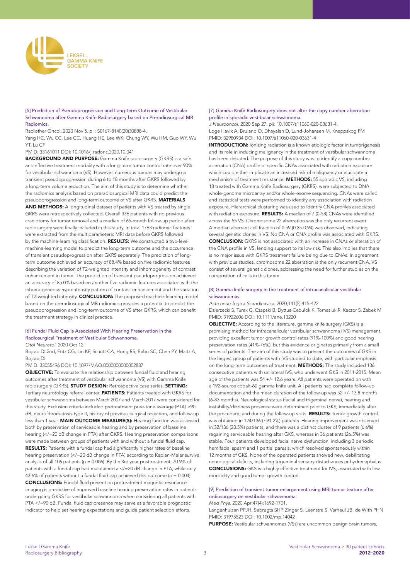

#### [5] Prediction of Pseudoprogression and Long-term Outcome of Vestibular Schwannoma after Gamma Knife Radiosurgery based on Preradiosurgical MR Radiomics.

Radiother Oncol. 2020 Nov 5. pii: S0167-8140(20)30888-4.

Yang HC, Wu CC, Lee CC, Huang HE, Lee WK, Chung WY, Wu HM, Guo WY, Wu YT, Lu CF

#### PMID: 33161011 DOI: 10.1016/j.radonc.2020.10.041

BACKGROUND AND PURPOSE: Gamma Knife radiosurgery (GKRS) is a safe and effective treatment modality with a long-term tumor control rate over 90% for vestibular schwannoma (VS). However, numerous tumors may undergo a transient pseudoprogression during 6 to 18 months after GKRS followed by a long-term volume reduction. The aim of this study is to determine whether the radiomics analysis based on preradiosurgical MRI data could predict the pseudoprogression and long-term outcome of VS after GKRS. MATERIALS AND METHODS: A longitudinal dataset of patients with VS treated by single GKRS were retrospectively collected. Overall 336 patients with no previous craniotomy for tumor removal and a median of 65-month follow-up period after radiosurgery were finally included in this study. In total 1763 radiomic features were extracted from the multiparameteric MRI data before GKRS followed by the machine-learning classification. RESULTS: We constructed a two-level machine-learning model to predict the long-term outcome and the occurrence of transient pseudoprogression after GKRS separately. The prediction of longterm outcome achieved an accuracy of 88.4% based on five radiomic features describing the variation of T2-weighted intensity and inhomogeneity of contrast enhancement in tumor. The prediction of transient pseudoprogression achieved an accuracy of 85.0% based on another five radiomic features associated with the inhomogeneous hypointensity pattern of contrast enhancement and the variation of T2-weighted intensity. **CONCLUSION:** The proposed machine-learning model based on the preradiosurgical MR radiomics provides a potential to predict the pseudoprogression and long-term outcome of VS after GKRS, which can benefit the treatment strategy in clinical practice.

#### [6] Fundal Fluid Cap Is Associated With Hearing Preservation in the Radiosurgical Treatment of Vestibular Schwannoma.

*Otol Neurotol*. 2020 Oct 12.

Bojrab DI 2nd, Fritz CG, Lin KF, Schutt CA, Hong RS, Babu SC, Chen PY, Maitz A, Bojrab DI

PMID: 33055496 DOI: 10.1097/MAO.0000000000002837

OBJECTIVE: To evaluate the relationship between fundal fluid and hearing outcomes after treatment of vestibular schwannoma (VS) with Gamma Knife radiosurgery (GKRS). STUDY DESIGN: Retrospective case series. SETTING: Tertiary neurotology referral center. PATIENTS: Patients treated with GKRS for vestibular schwannoma between March 2007 and March 2017 were considered for this study. Exclusion criteria included pretreatment pure-tone average (PTA) >90 dB, neurofibromatosis type II, history of previous surgical resection, and follow-up less than 1 year. MAIN OUTCOME MEASURE(S): Hearing function was assessed both by preservation of serviceable hearing and by preservation of baseline hearing (</=20 dB change in PTA) after GKRS. Hearing preservation comparisons were made between groups of patients with and without a fundal fluid cap. RESULTS: Patients with a fundal cap had significantly higher rates of baseline hearing preservation (</=20 dB change in PTA) according to Kaplan-Meier survival analysis of all 106 patients ( $p = 0.006$ ). By the 3rd year posttreatment, 70.9% of patients with a fundal cap had maintained a </=20 dB change in PTA, while only 43.6% of patients without a fundal fluid cap achieved this outcome ( $p = 0.004$ ). CONCLUSIONS: Fundal fluid present on pretreatment magnetic resonance imaging is predictive of improved baseline hearing preservation rates in patients undergoing GKRS for vestibular schwannoma when considering all patients with PTA </=90 dB. Fundal fluid cap presence may serve as a favorable prognostic indicator to help set hearing expectations and guide patient selection efforts.

#### [7] Gamma Knife Radiosurgery does not alter the copy number aberration profile in sporadic vestibular schwannoma.

*J Neurooncol*. 2020 Sep 27. pii: 10.1007/s11060-020-03631-4. Loge Havik A, Bruland O, Dhayalan D, Lund-Johansen M, Knappskog PM PMID: 32980934 DOI: 10.1007/s11060-020-03631-4

**INTRODUCTION:** Ionizing radiation is a known etiologic factor in tumorigenesis and its role in inducing malignancy in the treatment of vestibular schwannoma has been debated. The purpose of this study was to identify a copy number aberration (CNA) profile or specific CNAs associated with radiation exposure which could either implicate an increased risk of malignancy or elucidate a mechanism of treatment resistance. METHODS: 55 sporadic VS, including 18 treated with Gamma Knife Radiosurgery (GKRS), were subjected to DNA whole-genome microarray and/or whole-exome sequencing. CNAs were called and statistical tests were performed to identify any association with radiation exposure. Hierarchical clustering was used to identify CNA profiles associated with radiation exposure. RESULTS: A median of 7 (0-58) CNAs were identified across the 55 VS. Chromosome 22 aberration was the only recurrent event. A median aberrant cell fraction of 0.59 (0.25-0.94) was observed, indicating several genetic clones in VS. No CNA or CNA profile was associated with GKRS. CONCLUSION: GKRS is not associated with an increase in CNAs or alteration of the CNA profile in VS, lending support to its low risk. This also implies that there is no major issue with GKRS treatment failure being due to CNAs. In agreement with previous studies, chromosome 22 aberration is the only recurrent CNA. VS consist of several genetic clones, addressing the need for further studies on the composition of cells in this tumor.

#### [8] Gamma knife surgery in the treatment of intracanalicular vestibular schwannomas.

*Acta neurologica Scandinavica*. 2020;141(5):415-422

Dzierzecki S, Turek G, Czapski B, Dyttus-Cebulok K, Tomasiuk R, Kaczor S, Zabek M PMID: 31922606 DOI: 10.1111/ane.13220

**OBJECTIVE:** According to the literature, gamma knife surgery (GKS) is a promising method for intracanalicular vestibular schwannoma (IVS) management, providing excellent tumor growth control rates (91%-100%) and good hearing preservation rates (41%-76%), but this evidence originates primarily from a small series of patients. The aim of this study was to present the outcomes of GKS in the largest group of patients with IVS studied to date, with particular emphasis on the long-term outcomes of treatment. METHODS: The study included 136 consecutive patients with unilateral IVS, who underwent GKS in 2011-2015. Mean age of the patients was 54 +/- 12.6 years. All patients were operated on with a 192-source cobalt-60 gamma knife unit. All patients had complete follow-up documentation and the mean duration of the follow-up was 52 +/- 13.8 months (6-83 months). Neurological status (facial and trigeminal nerve), hearing and instability/dizziness presence were determined prior to GKS, immediately after the procedure, and during the follow-up visits. RESULTS: Tumor growth control was obtained in 124/136 (~91.2%) patients. Hearing improvement was observed in 32/136 (23.5%) patients, and there was a distinct cluster of 9 patients (6.6%) regaining serviceable hearing after GKS, whereas in 36 patients (26.5%) was stable. Four patients developed facial nerve dysfunction, including 3 periodic hemifacial spasm and 1 partial paresis, which resolved spontaneously within 12 months of GKS. None of the operated patients showed new, debilitating neurological deficits, including trigeminal sensory disturbances or hydrocephalus. CONCLUSIONS: GKS is a highly effective treatment for IVS, associated with low morbidity and good tumor growth control.

# [9] Prediction of transient tumor enlargement using MRI tumor texture after radiosurgery on vestibular schwannoma.

*Med Phys*. 2020 Apr;47(4):1692-1701.

Langenhuizen PPJH, Sebregts SHP, Zinger S, Leenstra S, Verheul JB, de With PHN PMID: 31975523 DOI: 10.1002/mp.14042

PURPOSE: Vestibular schwannomas (VSs) are uncommon benign brain tumors,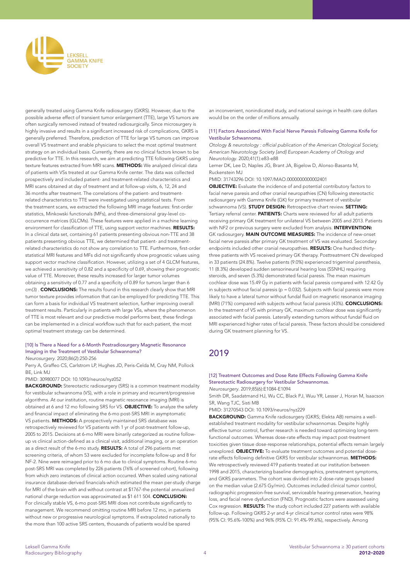

generally treated using Gamma Knife radiosurgery (GKRS). However, due to the possible adverse effect of transient tumor enlargement (TTE), large VS tumors are often surgically removed instead of treated radiosurgically. Since microsurgery is highly invasive and results in a significant increased risk of complications, GKRS is generally preferred. Therefore, prediction of TTE for large VS tumors can improve overall VS treatment and enable physicians to select the most optimal treatment strategy on an individual basis. Currently, there are no clinical factors known to be predictive for TTE. In this research, we aim at predicting TTE following GKRS using texture features extracted from MRI scans. METHODS: We analyzed clinical data of patients with VSs treated at our Gamma Knife center. The data was collected prospectively and included patient- and treatment-related characteristics and MRI scans obtained at day of treatment and at follow-up visits, 6, 12, 24 and 36 months after treatment. The correlations of the patient- and treatmentrelated characteristics to TTE were investigated using statistical tests. From the treatment scans, we extracted the following MRI image features: first-order statistics, Minkowski functionals (MFs), and three-dimensional gray-level cooccurrence matrices (GLCMs). These features were applied in a machine learning environment for classification of TTE, using support vector machines. RESULTS: In a clinical data set, containing 61 patients presenting obvious non-TTE and 38 patients presenting obvious TTE, we determined that patient- and treatmentrelated characteristics do not show any correlation to TTE. Furthermore, first-order statistical MRI features and MFs did not significantly show prognostic values using support vector machine classification. However, utilizing a set of 4 GLCM features, we achieved a sensitivity of 0.82 and a specificity of 0.69, showing their prognostic value of TTE. Moreover, these results increased for larger tumor volumes obtaining a sensitivity of 0.77 and a specificity of 0.89 for tumors larger than 6 cm(3) . **CONCLUSIONS:** The results found in this research clearly show that MRI tumor texture provides information that can be employed for predicting TTE. This can form a basis for individual VS treatment selection, further improving overall treatment results. Particularly in patients with large VSs, where the phenomenon of TTE is most relevant and our predictive model performs best, these findings can be implemented in a clinical workflow such that for each patient, the most optimal treatment strategy can be determined.

## [10] Is There a Need for a 6-Month Postradiosurgery Magnetic Resonance Imaging in the Treatment of Vestibular Schwannoma?

*Neurosurgery*. 2020;86(2):250-256

Perry A, Graffeo CS, Carlstrom LP, Hughes JD, Peris-Celda M, Cray NM, Pollock BE, Link MJ

#### PMID: 30980077 DOI: 10.1093/neuros/nyz052

**BACKGROUND:** Stereotactic radiosurgery (SRS) is a common treatment modality for vestibular schwannoma (VS), with a role in primary and recurrent/progressive algorithms. At our institution, routine magnetic resonance imaging (MRI) is obtained at 6 and 12 mo following SRS for VS. OBJECTIVE: To analyze the safety and financial impact of eliminating the 6-mo post-SRS MRI in asymptomatic VS patients. METHODS: A prospectively maintained SRS database was retrospectively reviewed for VS patients with 1 yr of post-treatment follow-up, 2005 to 2015. Decisions at 6-mo MRI were binarily categorized as routine followup vs clinical action-defined as a clinical visit, additional imaging, or an operation as a direct result of the 6-mo study. RESULTS: A total of 296 patients met screening criteria, of whom 53 were excluded for incomplete follow-up and 8 for NF-2. Nine were reimaged prior to 6 mo due to clinical symptoms. Routine 6-mo post-SRS MRI was completed by 226 patients (76% of screened cohort), following from which zero instances of clinical action occurred. When scaled using national insurance database-derived financials-which estimated the mean per-study charge for MRI of the brain with and without contrast at \$1767-the potential annualized national charge reduction was approximated as \$1 611 504. CONCLUSION: For clinically stable VS, 6-mo post-SRS MRI does not contribute significantly to management. We recommend omitting routine MRI before 12 mo, in patients without new or progressive neurological symptoms. If extrapolated nationally to the more than 100 active SRS centers, thousands of patients would be spared

an inconvenient, nonindicated study, and national savings in health care dollars would be on the order of millions annually.

#### [11] Factors Associated With Facial Nerve Paresis Following Gamma Knife for Vestibular Schwannoma.

Otology & neurotology : official publication of the American Otological Society, American Neurotology Society [and] European Academy of Otology and *Neurotology*. 2020;41(1):e83-e88

Lerner DK, Lee D, Naples JG, Brant JA, Bigelow D, Alonso-Basanta M, Ruckenstein MJ

PMID: 31743296 DOI: 10.1097/MAO.0000000000002401

OBJECTIVE: Evaluate the incidence of and potential contributory factors to facial nerve paresis and other cranial neuropathies (CN) following stereotactic radiosurgery with Gamma Knife (GK) for primary treatment of vestibular schwannoma (VS). STUDY DESIGN: Retrospective chart review. SETTING: Tertiary referral center. PATIENTS: Charts were reviewed for all adult patients receiving primary GK treatment for unilateral VS between 2005 and 2013. Patients with NF2 or previous surgery were excluded from analysis. INTERVENTION: GK radiosurgery. **MAIN OUTCOME MEASURES:** The incidence of new-onset facial nerve paresis after primary GK treatment of VS was evaluated. Secondary endpoints included other cranial neuropathies. **RESULTS:** One hundred thirtythree patients with VS received primary GK therapy. Posttreatment CN developed in 33 patients (24.8%). Twelve patients (9.0%) experienced trigeminal paresthesia, 11 (8.3%) developed sudden sensorineural hearing loss (SSNHL) requiring steroids, and seven (5.3%) demonstrated facial paresis. The mean maximum cochlear dose was 15.49 Gy in patients with facial paresis compared with 12.42 Gy in subjects without facial paresis ( $p = 0.032$ ). Subjects with facial paresis were more likely to have a lateral tumor without fundal fluid on magnetic resonance imaging (MRI) (71%) compared with subjects without facial paresis (43%). CONCLUSIONS: In the treatment of VS with primary GK, maximum cochlear dose was significantly associated with facial paresis. Laterally extending tumors without fundal fluid on MRI experienced higher rates of facial paresis. These factors should be considered during GK treatment planning for VS.

# 2019

# [12] Treatment Outcomes and Dose Rate Effects Following Gamma Knife Stereotactic Radiosurgery for Vestibular Schwannomas.

*Neurosurgery*. 2019;85(6):E1084-E1094

Smith DR, Saadatmand HJ, Wu CC, Black PJ, Wuu YR, Lesser J, Horan M, Isaacson SR, Wang TJC, Sisti MB

PMID: 31270543 DOI: 10.1093/neuros/nyz229

BACKGROUND: Gamma Knife radiosurgery (GKRS; Elekta AB) remains a wellestablished treatment modality for vestibular schwannomas. Despite highly effective tumor control, further research is needed toward optimizing long-term functional outcomes. Whereas dose-rate effects may impact post-treatment toxicities given tissue dose-response relationships, potential effects remain largely unexplored. **OBJECTIVE:** To evaluate treatment outcomes and potential doserate effects following definitive GKRS for vestibular schwannomas. METHODS: We retrospectively reviewed 419 patients treated at our institution between 1998 and 2015, characterizing baseline demographics, pretreatment symptoms, and GKRS parameters. The cohort was divided into 2 dose-rate groups based on the median value (2.675 Gy/min). Outcomes included clinical tumor control, radiographic progression-free survival, serviceable hearing preservation, hearing loss, and facial nerve dysfunction (FND). Prognostic factors were assessed using Cox regression. RESULTS: The study cohort included 227 patients with available follow-up. Following GKRS 2-yr and 4-yr clinical tumor control rates were 98% (95% CI: 95.6%-100%) and 96% (95% CI: 91.4%-99.6%), respectively. Among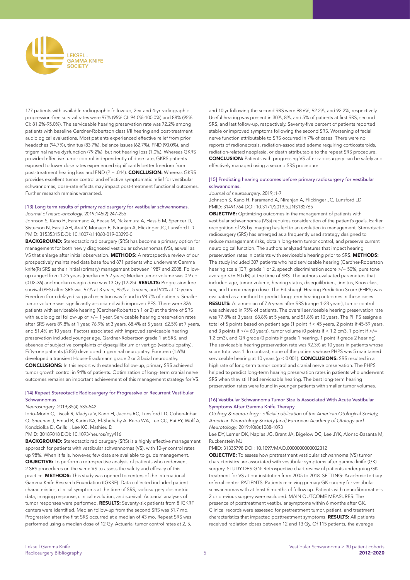

177 patients with available radiographic follow-up, 2-yr and 4-yr radiographic progression-free survival rates were 97% (95% CI: 94.0%-100.0%) and 88% (95% CI: 81.2%-95.0%). The serviceable hearing preservation rate was 72.2% among patients with baseline Gardner-Robertson class I/II hearing and post-treatment audiological evaluations. Most patients experienced effective relief from prior headaches (94.7%), tinnitus (83.7%), balance issues (62.7%), FND (90.0%), and trigeminal nerve dysfunction (79.2%), but not hearing loss (1.0%). Whereas GKRS provided effective tumor control independently of dose rate, GKRS patients exposed to lower dose rates experienced significantly better freedom from post-treatment hearing loss and FND (P = .044). CONCLUSION: Whereas GKRS provides excellent tumor control and effective symptomatic relief for vestibular schwannomas, dose-rate effects may impact post-treatment functional outcomes. Further research remains warranted.

#### [13] Long term results of primary radiosurgery for vestibular schwannomas. *Journal of neuro-oncology*. 2019;145(2):247-255

Johnson S, Kano H, Faramand A, Pease M, Nakamura A, Hassib M, Spencer D, Sisterson N, Faraji AH, Arai Y, Monaco E, Niranjan A, Flickinger JC, Lunsford LD PMID: 31535315 DOI: 10.1007/s11060-019-03290-0

BACKGROUND: Stereotactic radiosurgery (SRS) has become a primary option for management for both newly diagnosed vestibular schwannomas (VS), as well as VS that enlarge after initial observation. **METHODS:** A retrospective review of our prospectively maintained data base found 871 patients who underwent Gamma knife(R) SRS as their initial (primary) management between 1987 and 2008. Followup ranged from 1-25 years (median = 5.2 years) Median tumor volume was 0.9 cc (0.02-36) and median margin dose was 13 Gy (12-25). RESULTS: Progression free survival (PFS) after SRS was 97% at 3 years, 95% at 5 years, and 94% at 10 years. Freedom from delayed surgical resection was found in 98.7% of patients. Smaller tumor volume was significantly associated with improved PFS. There were 326 patients with serviceable hearing (Gardner-Robertson 1 or 2) at the time of SRS with audiological follow-up of  $\ge$ /= 1 year. Serviceable hearing preservation rates after SRS were 89.8% at 1 year, 76.9% at 3 years, 68.4% at 5 years, 62.5% at 7 years, and 51.4% at 10 years. Factors associated with improved serviceable hearing preservation included younger age, Gardner-Robertson grade 1 at SRS, and absence of subjective complaints of dysequilibrium or vertigo (vestibulopathy). Fifty-one patients (5.8%) developed trigeminal neuropathy. Fourteen (1.6%) developed a transient House-Brackmann grade 2 or 3 facial neuropathy. CONCLUSIONS: In this report with extended follow-up, primary SRS achieved tumor growth control in 94% of patients. Optimization of long- term cranial nerve outcomes remains an important achievement of this management strategy for VS.

#### [14] Repeat Stereotactic Radiosurgery for Progressive or Recurrent Vestibular Schwannomas.

# *Neurosurgery*. 2019;85(4):535-542

Iorio-Morin C, Liscak R, Vladyka V, Kano H, Jacobs RC, Lunsford LD, Cohen-Inbar O, Sheehan J, Emad R, Karim KA, El-Shehaby A, Reda WA, Lee CC, Pai FY, Wolf A, Kondziolka D, Grills I, Lee KC, Mathieu D

PMID: 30189018 DOI: 10.1093/neuros/nyy416

**BACKGROUND:** Stereotactic radiosurgery (SRS) is a highly effective management approach for patients with vestibular schwannomas (VS), with 10-yr control rates up 98%. When it fails, however, few data are available to guide management. OBJECTIVE: To perform a retrospective analysis of patients who underwent 2 SRS procedures on the same VS to assess the safety and efficacy of this practice. METHODS: This study was opened to centers of the International Gamma Knife Research Foundation (IGKRF). Data collected included patient characteristics, clinical symptoms at the time of SRS, radiosurgery dosimetric data, imaging response, clinical evolution, and survival. Actuarial analyses of tumor responses were performed. RESULTS: Seventy-six patients from 8 IGKRF centers were identified. Median follow-up from the second SRS was 51.7 mo. Progression after the first SRS occurred at a median of 43 mo. Repeat SRS was performed using a median dose of 12 Gy. Actuarial tumor control rates at 2, 5,

and 10 yr following the second SRS were 98.6%, 92.2%, and 92.2%, respectively. Useful hearing was present in 30%, 8%, and 5% of patients at first SRS, second SRS, and last follow-up, respectively. Seventy-five percent of patients reported stable or improved symptoms following the second SRS. Worsening of facial nerve function attributable to SRS occurred in 7% of cases. There were no reports of radionecrosis, radiation-associated edema requiring corticosteroids, radiation-related neoplasia, or death attributable to the repeat SRS procedure. CONCLUSION: Patients with progressing VS after radiosurgery can be safely and effectively managed using a second SRS procedure.

#### [15] Predicting hearing outcomes before primary radiosurgery for vestibular schwannomas.

#### *Journal of neurosurgery*. 2019;:1-7

Johnson S, Kano H, Faramand A, Niranjan A, Flickinger JC, Lunsford LD PMID: 31491764 DOI: 10.3171/2019.5.JNS182765

OBJECTIVE: Optimizing outcomes in the management of patients with vestibular schwannomas (VSs) requires consideration of the patient's goals. Earlier recognition of VS by imaging has led to an evolution in management. Stereotactic radiosurgery (SRS) has emerged as a frequently used strategy designed to reduce management risks, obtain long-term tumor control, and preserve current neurological function. The authors analyzed features that impact hearing preservation rates in patients with serviceable hearing prior to SRS. METHODS: The study included 307 patients who had serviceable hearing (Gardner-Robertson hearing scale [GR] grade 1 or 2, speech discrimination score >/= 50%, pure tone average </= 50 dB) at the time of SRS. The authors evaluated parameters that included age, tumor volume, hearing status, disequilibrium, tinnitus, Koos class, sex, and tumor margin dose. The Pittsburgh Hearing Prediction Score (PHPS) was evaluated as a method to predict long-term hearing outcomes in these cases. RESULTS: At a median of 7.6 years after SRS (range 1-23 years), tumor control was achieved in 95% of patients. The overall serviceable hearing preservation rate was 77.8% at 3 years, 68.8% at 5 years, and 51.8% at 10 years. The PHPS assigns a total of 5 points based on patient age (1 point if < 45 years, 2 points if 45-59 years, and 3 points if  $\ge$ /= 60 years), tumor volume (0 points if < 1.2 cm3, 1 point if  $\ge$ /= 1.2 cm3), and GR grade (0 points if grade 1 hearing, 1 point if grade 2 hearing) The serviceable hearing preservation rate was 92.3% at 10 years in patients whose score total was 1. In contrast, none of the patients whose PHPS was 5 maintained serviceable hearing at 10 years (p < 0.001). **CONCLUSIONS:** SRS resulted in a high rate of long-term tumor control and cranial nerve preservation. The PHPS helped to predict long-term hearing preservation rates in patients who underwent SRS when they still had serviceable hearing. The best long-term hearing preservation rates were found in younger patients with smaller tumor volumes.

#### [16] Vestibular Schwannoma Tumor Size Is Associated With Acute Vestibular Symptoms After Gamma Knife Therapy.

Otology & neurotology : official publication of the American Otological Society, American Neurotology Society [and] European Academy of Otology and *Neurotology*. 2019;40(8):1088-1093

Lee DY, Lerner DK, Naples JG, Brant JA, Bigelow DC, Lee JYK, Alonso-Basanta M, Ruckenstein MJ

#### PMID: 31335798 DOI: 10.1097/MAO.0000000000002312

OBJECTIVE: To assess how pretreatment vestibular schwannoma (VS) tumor characteristics are associated with vestibular symptoms after gamma knife (GK) surgery. STUDY DESIGN: Retrospective chart review of patients undergoing GK treatment for VS at our institution from 2005 to 2018. SETTING: Academic tertiary referral center. PATIENTS: Patients receiving primary GK surgery for vestibular schwannomas with at least 6 months of follow up. Patients with neurofibromatosis 2 or previous surgery were excluded. MAIN OUTCOME MEASURES: The presence of posttreatment vestibular symptoms within 6 months after GK. Clinical records were assessed for pretreatment tumor, patient, and treatment characteristics that impacted posttreatment symptoms. RESULTS: All patients received radiation doses between 12 and 13 Gy. Of 115 patients, the average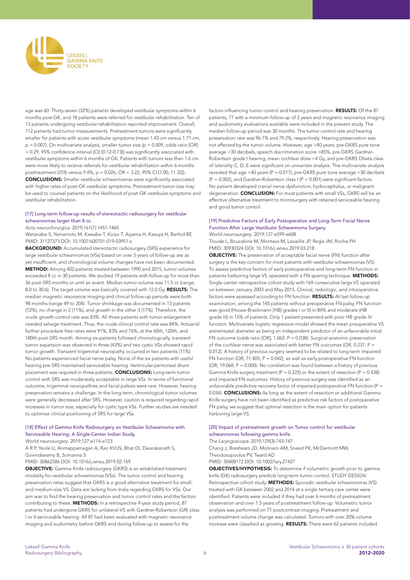

age was 60. Thirty-seven (32%) patients developed vestibular symptoms within 6 months post-GK, and 18 patients were referred for vestibular rehabilitation. Ten of 13 patients undergoing vestibular rehabilitation reported improvement. Overall, 112 patients had tumor measurements. Pretreatment tumors were significantly smaller for patients with acute vestibular symptoms (mean 1.43 cm versus 1.71 cm,  $p = 0.007$ ). On multivariate analysis, smaller tumor size ( $p = 0.009$ , odds ratio [OR] = 0.29, 95% confidence interval [CI] [0.12-0.73]) was significantly associated with vestibular symptoms within 6 months of GK. Patients with tumors less than 1.6 cm were more likely to receive referrals for vestibular rehabilitation within 6 months posttreatment (25% versus 9.4%, p = 0.026, OR = 3.22, 95% CI [1.00, 11.32]). CONCLUSIONS: Smaller vestibular schwannomas were significantly associated with higher rates of post-GK vestibular symptoms. Pretreatment tumor size may be used to counsel patients on the likelihood of post-GK vestibular symptoms and vestibular rehabilitation.

#### [17] Long-term follow-up results of stereotactic radiosurgery for vestibular schwannomas larger than 8 cc.

*Acta neurochirurgica*. 2019;161(7):1457-1465

Watanabe S, Yamamoto M, Kawabe T, Koiso T, Aiyama H, Kasuya H, Barfod BE PMID: 31127373 DOI: 10.1007/s00701-019-03951-z

BACKGROUND: Accumulated stereotactic radiosurgery (SRS) experience for large vestibular schwannomas (VSs) based on over 5 years of follow-up are as yet insufficient, and chronological volume changes have not been documented. METHOD: Among 402 patients treated between 1990 and 2015, tumor volumes exceeded 8 cc in 30 patients. We studied 19 patients with follow-up for more than 36 post-SRS months or until an event. Median tumor volume was 11.5 cc (range; 8.0 to 30.6). The target volume was basically covered with 12.0 Gy. RESULTS: The median magnetic resonance imaging and clinical follow-up periods were both 98 months (range 49 to 204). Tumor shrinkage was documented in 13 patients (72%), no change in 2 (11%), and growth in the other 3 (17%). Therefore, the crude growth control rate was 83%. All three patients with tumor enlargement needed salvage treatment. Thus, the crude clinical control rate was 84%. Actuarial further procedure-free rates were 91%, 83% and 76%, at the 60th, 120th, and 180th post-SRS month. Among six patients followed chronologically, transient tumor expansion was observed in three (43%) and two cystic VSs showed rapid tumor growth. Transient trigeminal neuropathy occurred in two patients (11%). No patients experienced facial nerve palsy. None of the six patients with useful hearing pre-SRS maintained serviceable hearing. Ventricular-peritoneal shunt placement was required in three patients. CONCLUSIONS: Long-term tumor control with SRS was moderately acceptable in large VSs. In terms of functional outcome, trigeminal neuropathies and facial palsies were rare. However, hearing preservation remains a challenge. In the long term, chronological tumor volumes were generally decreased after SRS. However, caution is required regarding rapid increases in tumor size, especially for cystic type VSs. Further studies are needed to optimize clinical positioning of SRS for large VSs.

#### [18] Effect of Gamma Knife Radiosurgery on Vestibular Schwannoma with Serviceable Hearing: A Single-Center Indian Study.

*World neurosurgery*. 2019;127:e114-e123

A R P, Yeole U, Arimappamagan A, Rao KVLN, Bhat DI, Dwarakanath S, Govindswamy B, Somanna S

PMID: 30862586 DOI: 10.1016/j.wneu.2019.02.169

OBJECTIVE: Gamma Knife radiosurgery (GKRS) is an established treatment modality for vestibular schwannomas (VSs). The tumor control and hearing preservation rates suggest that GKRS is a good alternative treatment for smalland medium-size VS. Data are lacking from India regarding GKRS for VSs. Our aim was to find the hearing preservation and tumor control rates and the factors contributing to these. **METHODS:** In a retrospective 9-year study period, 87 patients had undergone GKRS for unilateral VS with Gardner-Robertson (GR) class I or II serviceable hearing. All 87 had been evaluated with magnetic resonance imaging and audiometry before GKRS and during follow-up to assess for the

factors influencing tumor control and hearing preservation. **RESULTS:** Of the 87 patients, 77 with a minimum follow-up of 2 years and magnetic resonance imaging and audiometry evaluations available were included in the present study. The median follow-up period was 30 months. The tumor control rate and hearing preservation rate was 96.1% and 79.2%, respectively. Hearing preservation was not affected by the tumor volume. However, age >40 years, pre-GKRS pure tone average <30 decibels, speech discrimination score >85%, pre-GKRS Gardner-Robertson grade I hearing, mean cochlear dose <4 Gy, and pre-GKRS Ohata class of laterality C, D, E were significant on univariate analysis. The multivariate analysis revealed that age >40 years ( $P = 0.017$ ), pre-GKRS pure tone average <30 decibels  $(P = 0.002)$ , and Gardner-Robertson class I ( $P = 0.001$ ) were significant factors. No patient developed cranial nerve dysfunction, hydrocephalus, or malignant degeneration. **CONCLUSION:** For most patients with small VSs, GKRS will be an effective alternative treatment to microsurgery with retained serviceable hearing and good tumor control.

# [19] Predictive Factors of Early Postoperative and Long-Term Facial Nerve Function After Large Vestibular Schwannoma Surgery.

*World neurosurgery*. 2019;127:e599-e608

Troude L, Boucekine M, Montava M, Lavieille JP, Regis JM, Roche PH PMID: 30930324 DOI: 10.1016/j.wneu.2019.03.218

OBJECTIVE: The preservation of acceptable facial nerve (FN) function after surgery is the key concern for most patients with vestibular schwannomas (VS). To assess predictive factors of early postoperative and long-term FN function in patients harboring large VS operated with a FN-sparing technique. METHODS: Single-center retrospective cohort study with 169 consecutive large VS operated on between January 2003 and May 2015. Clinical, radiologic, and intraoperative factors were assessed according to FN function. RESULTS: At last follow-up examination, among the 145 patients without preoperative FN palsy, FN function was good (House-Brackmann [HB] grades I or II) in 84% and moderate (HB grade III) in 15% of patients. Only 1 patient presented with poor HB grade IV function. Multivariate logistic regression model showed the mean preoperative VS extrameatal diameter as being an independent predictor of an unfavorable initial FN outcome (odds ratio [OR], 1.062; P = 0.038). Surgical anatomic preservation of the cochlear nerve was associated with better FN outcomes (OR, 0.237; P = 0.012). A history of previous surgery seemed to be related to long-term impaired FN function (OR, 71.405; P = 0.042), as well as early postoperative FN function (OR, 19.068; P = 0.000). No correlation was found between a history of previous Gamma Knife surgery treatment ( $P = 0.225$ ) or the extent of resection ( $P = 0.438$ ) and impaired FN outcomes. History of previous surgery was identified as an unfavorable predictive recovery factor of impaired postoperative FN function (P = 0.034). **CONCLUSIONS:** As long as the extent of resection or additional Gamma Knife surgery have not been identified as predictive risk factors of postoperative FN palsy, we suggest that optimal resection is the main option for patients harboring large VS.

#### [20] Impact of pretreatment growth on Tumor control for vestibular schwannomas following gamma knife.

The Laryngoscope. 2019;129(3):743-747

Chang J, Breshears JD, Molinaro AM, Sneed PK, McDermott MW, Theodosopoulos PV, Tward AD

PMID: 30408172 DOI: 10.1002/lary.27427

OBJECTIVES/HYPOTHESIS: To determine if volumetric growth prior to gamma knife (GK) radiosurgery predicts long-term tumor control. STUDY DESIGN: Retrospective cohort study. **METHODS:** Sporadic vestibular schwannomas (VS) treated with GK between 2002 and 2014 at a single tertiary care center were identified. Patients were included if they had over 6 months of pretreatment observation and over 1.5 years of posttreatment follow-up. Volumetric tumor analysis was performed on T1 postcontrast imaging. Pretreatment and posttreatment volume change was calculated. Tumors with over 20% volume increase were classified as growing. RESULTS: There were 62 patients included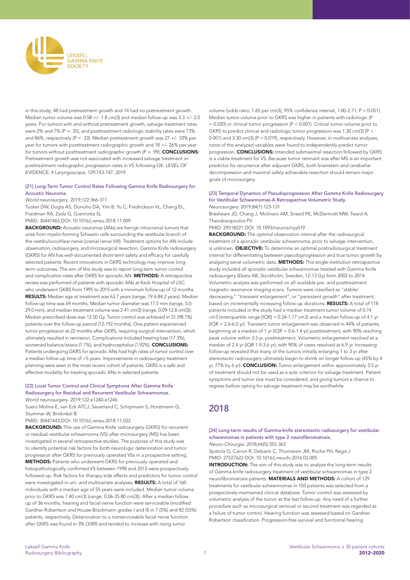

in this study; 48 had pretreatment growth and 14 had no pretreatment growth. Median tumor volume was 0.58 +/- 1.8 cm(3) and median follow-up was 3.3 +/- 2.0 years. For tumors with and without pretreatment growth, salvage treatment rates were 2% and 7% ( $P = .35$ ), and posttreatment radiologic stability rates were 73% and 86%, respectively (P = .33). Median pretreatment growth was 27 +/- 33% per year for tumors with posttreatment radiographic growth and 18 +/- 26% per year for tumors without posttreatment radiographic growth (P = .99). CONCLUSIONS: Pretreatment growth was not associated with increased salvage treatment or posttreatment radiographic progression rates in VS following GK. LEVEL OF EVIDENCE: 4 Laryngoscope, 129:743-747, 2019.

#### [21] Long-Term Tumor Control Rates Following Gamma Knife Radiosurgery for Acoustic Neuroma.

*World neurosurgery*. 2019;122:366-371

Tucker DW, Gogia AS, Donoho DA, Yim B, Yu C, Fredrickson VL, Chang EL, Freidman RA, Zada G, Giannotta SL

PMID: 30447465 DOI: 10.1016/j.wneu.2018.11.009

BACKGROUND: Acoustic neuromas (ANs) are benign intracranial tumors that arise from myelin-forming Schwann cells surrounding the vestibular branch of the vestibulocochlear nerve (cranial nerve VIII). Treatment options for AN include observation, radiosurgery, and microsurgical resection. Gamma Knife radiosurgery (GKRS) for AN has well-documented short-term safety and efficacy for carefully selected patients. Recent innovations in GKRS technology may improve longterm outcomes. The aim of this study was to report long-term tumor control and complication rates after GKRS for sporadic AN. METHODS: A retrospective review was performed of patients with sporadic ANs at Keck Hospital of USC who underwent GKRS from 1995 to 2015 with a minimum follow-up of 12 months. RESULTS: Median age at treatment was 63.7 years (range, 19.4-84.2 years). Median follow-up time was 69 months. Median tumor diameter was 17.5 mm (range, 5.0- 29.0 mm), and median treatment volume was 2.41 cm(3) (range, 0.09-12.8 cm(3)). Median prescribed dose was 12.50 Gy. Tumor control was achieved in 51 (98.1%) patients over the follow-up period (12-192 months). One patient experienced tumor progression at 22 months after GKRS, requiring surgical intervention, which ultimately resulted in remission. Complications included hearing loss (17.3%), worsened balance/ataxia (7.7%), and hydrocephalus (1.92%). **CONCLUSIONS:** Patients undergoing GKRS for sporadic ANs had high rates of tumor control over a median follow-up time of >5 years. Improvements in radiosurgery treatment planning were seen in the most recent cohort of patients. GKRS is a safe and effective modality for treating sporadic ANs in selected patients.

# [22] Local Tumor Control and Clinical Symptoms After Gamma Knife Radiosurgery for Residual and Recurrent Vestibular Schwannomas.

*World neurosurgery*. 2019;122:e1240-e1246

Suero Molina E, van Eck ATCJ, Sauerland C, Schipmann S, Horstmann G, Stummer W, Brokinkel B

PMID: 30447443 DOI: 10.1016/j.wneu.2018.11.022

BACKGROUND: The use of Gamma Knife radiosurgery (GKRS) for recurrent or residual vestibular schwannoma (VS) after microsurgery (MS) has been investigated in several retrospective studies. The purpose of this study was to identify potential risk factors for both neurologic deterioration and tumor progression after GKRS for previously operated VSs in a prospective setting. METHODS: Patients who underwent GKRS for previously operated and histopathologically confirmed VS between 1998 and 2015 were prospectively followed-up. Risk factors for therapy side effects and predictors for tumor control were investigated in uni- and multivariate analyses. RESULTS: A total of 160 individuals with a median age of 55 years were included. Median tumor volume prior to GKRS was 1.40 cm(3) (range, 0.06-35.80 cm(3)). After a median followup of 36 months, hearing and facial nerve function were serviceable (modified Gardner-Robertson and House-Brackmann grades I and II) in 7 (5%) and 82 (55%) patients, respectively. Deterioration to a nonserviceable facial nerve function after GKRS was found in 3% (3/89) and tended to increase with rising tumor

volume (odds ratio, 1.65 per cm(3); 95% confidence interval, 1.00-2.71; P = 0.051). Median tumor volume prior to GKRS was higher in patients with radiologic (P  $= 0.020$ ) or clinical tumor progression (P < 0.001). Critical tumor volume prior to GKRS to predict clinical and radiologic tumor progression was 1.30 cm(3) (P < 0.001) and 3.30 cm(3) (P = 0.019), respectively. However, in multivariate analyses, none of the analyzed variables were found to independently predict tumor progression. **CONCLUSIONS:** Intended submaximal resection followed by GKRS is a viable treatment for VS. Because tumor remnant size after MS is an important predictor for recurrence after adjuvant GKRS, both brainstem and cerebellar decompression and maximal safely achievable resection should remain major goals of microsurgery.

#### [23] Temporal Dynamics of Pseudoprogression After Gamma Knife Radiosurgery for Vestibular Schwannomas-A Retrospective Volumetric Study. *Neurosurgery*. 2019;84(1):123-131

Breshears JD, Chang J, Molinaro AM, Sneed PK, McDermott MW, Tward A, Theodosopoulos PV

PMID: 29518221 DOI: 10.1093/neuros/nyy019

**BACKGROUND:** The optimal observation interval after the radiosurgical treatment of a sporadic vestibular schwannoma, prior to salvage intervention, is unknown. **OBJECTIVE:** To determine an optimal postradiosurgical treatment interval for differentiating between pseudoprogression and true tumor growth by analyzing serial volumetric data. METHODS: This single-institution retrospective study included all sporadic vestibular schwannomas treated with Gamma Knife radiosurgery (Eketa AB, Stockholm, Sweden; 12-13 Gy) from 2002 to 2014. Volumetric analysis was performed on all available pre- and posttreatment magnetic resonance imaging scans. Tumors were classified as "stable/ decreasing," "transient enlargement", or "persistent growth" after treatment, based on incrementally increasing follow-up durations. RESULTS: A total of 118 patients included in the study had a median treatment tumor volume of 0.74 cm3 (interquartile range [IQR] = 0.34-1.77 cm3) and a median follow-up of 4.1 yr (IQR = 2.6-6.0 yr). Transient tumor enlargement was observed in 44% of patients, beginning at a median of 1 yr (IQR = 0.6-1.4 yr) posttreatment, with 90% reaching peak volume within 3.5 yr, posttreatment. Volumetric enlargement resolved at a median of 2.4 yr (IQR 1.9-3.6 yr), with 90% of cases resolved at 6.9 yr. Increasing follow-up revealed that many of the tumors initially enlarging 1 to 3 yr after stereotactic radiosurgery ultimately begin to shrink on longer follow-up (45% by 4 yr, 77% by 6 yr). CONCLUSION: Tumor enlargement within approximately 3.5 yr of treatment should not be used as a sole criterion for salvage treatment. Patient symptoms and tumor size must be considered, and giving tumors a chance to regress before opting for salvage treatment may be worthwhile.

# 2018

## [24] Long-term results of Gamma-knife stereotactic radiosurgery for vestibular schwannomas in patients with type 2 neurofibromatosis.

*Neuro-Chirurgie*. 2018;64(5):355-363 Spatola G, Carron R, Delsanti C, Thomassin JM, Roche PH, Regis J

PMID: 27527622 DOI: 10.1016/j.neuchi.2016.03.005

**INTRODUCTION:** The aim of this study was to analyze the long-term results of Gamma-knife radiosurgery treatment of vestibular schwannomas in type 2 neurofibromatosis patients. MATERIALS AND METHODS: A cohort of 129 treatments for vestibular schwannomas in 103 patients was selected from a prospectively-maintained clinical database. Tumor control was assessed by volumetric analysis of the tumor at the last follow-up. Any need of a further procedure such as microsurgical removal or second treatment was regarded as a failure of tumor control. Hearing function was assessed based on Gardner-Robertson classification. Progression-free survival and functional hearing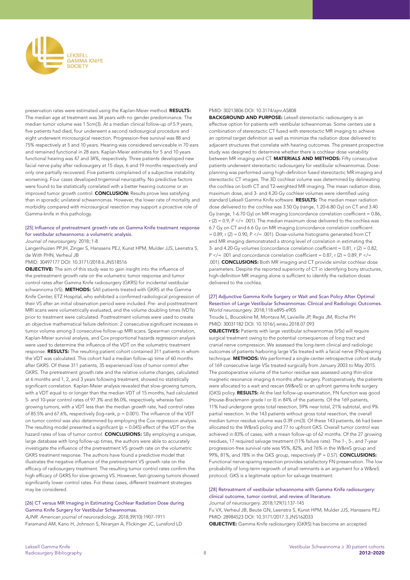

preservation rates were estimated using the Kaplan-Meier method. **RESULTS:** The median age at treatment was 34 years with no gender predominance. The median tumor volume was 1.5cm(3). At a median clinical follow-up of 5.9 years, five patients had died, four underwent a second radiosurgical procedure and eight underwent microsurgical resection. Progression-free survival was 88 and 75% respectively at 5 and 10 years. Hearing was considered serviceable in 70 ears and remained functional in 28 ears. Kaplan-Meier estimates for 5 and 10 years functional hearing was 47 and 34%, respectively. Three patients developed new facial nerve palsy after radiosurgery at 15 days, 6 and 19 months respectively and only one partially recovered. Five patients complained of a subjective instability worsening. Four cases developed trigeminal neuropathy. No predictive factors were found to be statistically correlated with a better hearing outcome or an improved tumor growth control. **CONCLUSION:** Results prove less satisfying than in sporadic unilateral schwannomas. However, the lower rate of mortality and morbidity compared with microsurgical resection may support a proactive role of Gamma-knife in this pathology.

#### [25] Influence of pretreatment growth rate on Gamma Knife treatment response for vestibular schwannoma: a volumetric analysis.

*Journal of neurosurgery*. 2018;:1-8

Langenhuizen PPJH, Zinger S, Hanssens PEJ, Kunst HPM, Mulder JJS, Leenstra S, de With PHN, Verheul JB

PMID: 30497177 DOI: 10.3171/2018.6.JNS18516

OBJECTIVE: The aim of this study was to gain insight into the influence of the pretreatment growth rate on the volumetric tumor response and tumor control rates after Gamma Knife radiosurgery (GKRS) for incidental vestibular schwannoma (VS). **METHODS:** SAll patients treated with GKRS at the Gamma Knife Center, ETZ Hospital, who exhibited a confirmed radiological progression of their VS after an initial observation period were included. Pre- and posttreatment MRI scans were volumetrically evaluated, and the volume doubling times (VDTs) prior to treatment were calculated. Posttreatment volumes were used to create an objective mathematical failure definition: 2 consecutive significant increases in tumor volume among 3 consecutive follow-up MRI scans. Spearman correlation, Kaplan-Meier survival analysis, and Cox proportional hazards regression analysis were used to determine the influence of the VDT on the volumetric treatment response. **RESULTS:** The resulting patient cohort contained 311 patients in whom the VDT was calculated. This cohort had a median follow-up time of 60 months after GKRS. Of these 311 patients, 35 experienced loss of tumor control after GKRS. The pretreatment growth rate and the relative volume changes, calculated at 6 months and 1, 2, and 3 years following treatment, showed no statistically significant correlation. Kaplan-Meier analysis revealed that slow-growing tumors, with a VDT equal to or longer than the median VDT of 15 months, had calculated 5- and 10-year control rates of 97.3% and 86.0%, respectively, whereas fastgrowing tumors, with a VDT less than the median growth rate, had control rates of 85.5% and 67.6%, respectively (log-rank, p = 0.001). The influence of the VDT on tumor control was also determined by employing the Cox regression analysis. The resulting model presented a significant ( $p = 0.045$ ) effect of the VDT on the hazard rates of loss of tumor control. **CONCLUSIONS:** SBy employing a unique, large database with long follow-up times, the authors were able to accurately investigate the influence of the pretreatment VS growth rate on the volumetric GKRS treatment response. The authors have found a predictive model that illustrates the negative influence of the pretreatment VS growth rate on the efficacy of radiosurgery treatment. The resulting tumor control rates confirm the high efficacy of GKRS for slow-growing VS. However, fast-growing tumors showed significantly lower control rates. For these cases, different treatment strategies may be considered.

#### [26] CT versus MR Imaging in Estimating Cochlear Radiation Dose during Gamma Knife Surgery for Vestibular Schwannomas.

AJNR. American journal of neuroradiology. 2018;39(10):1907-1911 Faramand AM, Kano H, Johnson S, Niranjan A, Flickinger JC, Lunsford LD

#### PMID: 30213806 DOI: 10.3174/ajnr.A5808

BACKGROUND AND PURPOSE: Leksell stereotactic radiosurgery is an effective option for patients with vestibular schwannomas. Some centers use a combination of stereotactic CT fused with stereotactic MR imaging to achieve an optimal target definition as well as minimize the radiation dose delivered to adjacent structures that correlate with hearing outcomes. The present prospective study was designed to determine whether there is cochlear dose variability between MR imaging and CT. MATERIALS AND METHODS: Fifty consecutive patients underwent stereotactic radiosurgery for vestibular schwannomas. Doseplanning was performed using high-definition fused stereotactic MR imaging and stereotactic CT images. The 3D cochlear volume was determined by delineating the cochlea on both CT and T2-weighted MR imaging. The mean radiation dose, maximum dose, and 3- and 4.20-Gy cochlear volumes were identified using standard Leksell Gamma Knife software. RESULTS: The median mean radiation dose delivered to the cochlea was 3.50 Gy (range, 1.20-6.80 Gy) on CT and 3.40 Gy (range, 1-6.70 Gy) on MR imaging (concordance correlation coefficient = 0.86,  $r$  (2) = 0.9, P </= .001). The median maximum dose delivered to the cochlea was 6.7 Gy on CT and 6.6 Gy on MR imaging (concordance correlation coefficient  $= 0.89$ , r (2) = 0.90, P </= .001). Dose-volume histograms generated from CT and MR imaging demonstrated a strong level of correlation in estimating the 3- and 4.20-Gy volumes (concordance correlation coefficient =  $0.81$ , r (2) =  $0.82$ ,  $P$  </= .001 and concordance correlation coefficient = 0.87, r (2) = 0.89, P </= .001). CONCLUSIONS: Both MR imaging and CT provide similar cochlear dose parameters. Despite the reported superiority of CT in identifying bony structures, high-definition MR imaging alone is sufficient to identify the radiation doses delivered to the cochlea.

#### [27] Adjunctive Gamma Knife Surgery or Wait and Scan Policy After Optimal Resection of Large Vestibular Schwannomas: Clinical and Radiologic Outcomes. *World neurosurgery*. 2018;118:e895-e905

Troude L, Boucekine M, Montava M, Lavieille JP, Regis JM, Roche PH PMID: 30031182 DOI: 10.1016/j.wneu.2018.07.093

OBJECTIVES: Patients with large vestibular schwannomas (VSs) will require surgical treatment owing to the potential consequences of long tract and cranial nerve compression. We assessed the long-term clinical and radiologic outcomes of patients harboring large VSs treated with a facial nerve (FN)-sparing technique. METHODS: We performed a single-center retrospective cohort study of 169 consecutive large VSs treated surgically from January 2003 to May 2015. The postoperative volume of the tumor residue was assessed using thin-slice magnetic resonance imaging 6 months after surgery. Postoperatively, the patients were allocated to a wait and rescan (W&reS) or an upfront gamma knife surgery (GKS) policy. RESULTS: At the last follow-up examination, FN function was good (House-Brackmann grade I or II) in 84% of the patients. Of the 169 patients, 11% had undergone gross total resection, 59% near total, 21% subtotal, and 9% partial resection. In the 143 patients without gross total resection, the overall median tumor residue volume was 0.39 cm(3). Of these 143 patients, 66 had been allocated to the W&reS policy and 77 to upfront GKS. Overall tumor control was achieved in 83% of cases, with a mean follow-up of 62 months. Of the 27 growing residues, 17 required salvage treatment (11% failure rate). The 1-, 5-, and 7-year progression-free survival rate was 95%, 82%, and 76% in the W&reS group and 99%, 81%, and 78% in the GKS group, respectively  $(P = 0.57)$ . **CONCLUSIONS:** Functional nerve-sparing resection provides satisfactory FN preservation. The low probability of long-term regrowth of small remnants is an argument for a W&reS protocol. GKS is a legitimate option for salvage treatment.

#### [28] Retreatment of vestibular schwannoma with Gamma Knife radiosurgery: clinical outcome, tumor control, and review of literature. *Journal of neurosurgery*. 2018;129(1):137-145

Fu VX, Verheul JB, Beute GN, Leenstra S, Kunst HPM, Mulder JJS, Hanssens PEJ PMID: 28984523 DOI: 10.3171/2017.3.JNS162033 OBJECTIVE: Gamma Knife radiosurgery (GKRS) has become an accepted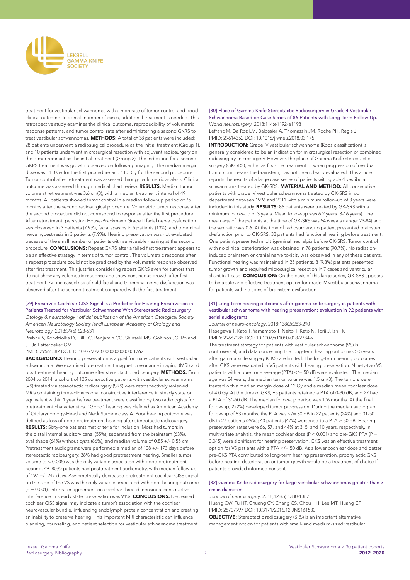

treatment for vestibular schwannoma, with a high rate of tumor control and good clinical outcome. In a small number of cases, additional treatment is needed. This retrospective study examines the clinical outcome, reproducibility of volumetric response patterns, and tumor control rate after administering a second GKRS to treat vestibular schwannomas. METHODS: A total of 38 patients were included: 28 patients underwent a radiosurgical procedure as the initial treatment (Group 1), and 10 patients underwent microsurgical resection with adjuvant radiosurgery on the tumor remnant as the initial treatment (Group 2). The indication for a second GKRS treatment was growth observed on follow-up imaging. The median margin dose was 11.0 Gy for the first procedure and 11.5 Gy for the second procedure. Tumor control after retreatment was assessed through volumetric analysis. Clinical outcome was assessed through medical chart review. RESULTS: Median tumor volume at retreatment was 3.6 cm(3), with a median treatment interval of 49 months. All patients showed tumor control in a median follow-up period of 75 months after the second radiosurgical procedure. Volumetric tumor response after the second procedure did not correspond to response after the first procedure. After retreatment, persisting House-Brackmann Grade II facial nerve dysfunction was observed in 3 patients (7.9%), facial spasms in 5 patients (13%), and trigeminal nerve hypesthesia in 3 patients (7.9%). Hearing preservation was not evaluated because of the small number of patients with serviceable hearing at the second procedure. CONCLUSIONS: Repeat GKRS after a failed first treatment appears to be an effective strategy in terms of tumor control. The volumetric response after a repeat procedure could not be predicted by the volumetric response observed after first treatment. This justifies considering repeat GKRS even for tumors that do not show any volumetric response and show continuous growth after first treatment. An increased risk of mild facial and trigeminal nerve dysfunction was observed after the second treatment compared with the first treatment.

[29] Preserved Cochlear CISS Signal is a Predictor for Hearing Preservation in Patients Treated for Vestibular Schwannoma With Stereotactic Radiosurgery. Otology & neurotology : official publication of the American Otological Society, American Neurotology Society [and] European Academy of Otology and *Neurotology*. 2018;39(5):628-631

Prabhu V, Kondziolka D, Hill TC, Benjamin CG, Shinseki MS, Golfinos JG, Roland JT Jr, Fatterpekar GM

PMID: 29561382 DOI: 10.1097/MAO.0000000000001762

BACKGROUND: Hearing preservation is a goal for many patients with vestibular schwannoma. We examined pretreatment magnetic resonance imaging (MRI) and posttreatment hearing outcome after stereotactic radiosurgery. METHODS: From 2004 to 2014, a cohort of 125 consecutive patients with vestibular schwannoma (VS) treated via stereotactic radiosurgery (SRS) were retrospectively reviewed. MRIs containing three-dimensional constructive interference in steady state or equivalent within 1 year before treatment were classified by two radiologists for pretreatment characteristics. "Good" hearing was defined as American Academy of Otolaryngology-Head and Neck Surgery class A. Poor hearing outcome was defined as loss of good pretreatment hearing after stereotactic radiosurgery. RESULTS: Sixty-one patients met criteria for inclusion. Most had tumors in the distal internal auditory canal (55%), separated from the brainstem (63%), oval shape (64%) without cysts (86%), and median volume of 0.85 +/- 0.55 cm. Pretreatment audiograms were performed a median of 108 +/- 173 days before stereotactic radiosurgery; 38% had good pretreatment hearing. Smaller tumor volume (p < 0.005) was the only variable associated with good pretreatment hearing. 49 (80%) patients had posttreatment audiometry, with median follow-up of 197 +/- 247 days. Asymmetrically decreased pretreatment cochlear CISS signal on the side of the VS was the only variable associated with poor hearing outcome  $(p = 0.001)$ . Inter-rater agreement on cochlear three-dimensional constructive interference in steady state preservation was 91%. CONCLUSIONS: Decreased cochlear CISS signal may indicate a tumor's association with the cochlear neurovascular bundle, influencing endolymph protein concentration and creating an inability to preserve hearing. This important MRI characteristic can influence planning, counseling, and patient selection for vestibular schwannoma treatment.

[30] Place of Gamma Knife Stereotactic Radiosurgery in Grade 4 Vestibular Schwannoma Based on Case Series of 86 Patients with Long-Term Follow-Up. *World neurosurgery*. 2018;114:e1192-e1198

Lefranc M, Da Roz LM, Balossier A, Thomassin JM, Roche PH, Regis J PMID: 29614352 DOI: 10.1016/j.wneu.2018.03.175

INTRODUCTION: Grade IV vestibular schwannoma (Koos classification) is generally considered to be an indication for microsurgical resection or combined radiosurgery-microsurgery. However, the place of Gamma Knife stereotactic surgery (GK-SRS), either as first-line treatment or when progression of residual tumor compresses the brainstem, has not been clearly evaluated. This article reports the results of a large case series of patients with grade 4 vestibular schwannoma treated by GK-SRS. MATERIAL AND METHOD: All consecutive patients with grade IV vestibular schwannoma treated by GK-SRS in our department between 1996 and 2011 with a minimum follow-up of 3 years were included in this study. RESULTS: 86 patients were treated by GK-SRS with a minimum follow-up of 3 years. Mean follow-up was 6.2 years (3-16 years). The mean age of the patients at the time of GK-SRS was 54.6 years (range: 23-84) and the sex ratio was 0.6. At the time of radiosurgery, no patient presented brainstem dysfunction prior to GK-SRS. 38 patients had functional hearing before treatment. One patient presented mild trigeminal neuralgia before GK-SRS. Tumor control with no clinical deterioration was obtained in 78 patients (90.7%). No radiationinduced brainstem or cranial nerve toxicity was observed in any of these patients. Functional hearing was maintained in 25 patients. 8 (9.3%) patients presented tumor growth and required microsurgical resection in 7 cases and ventricular shunt in 1 case. CONCLUSION: On the basis of this large series, GK-SRS appears to be a safe and effective treatment option for grade IV vestibular schwannoma for patients with no signs of brainstem dysfunction.

#### [31] Long-term hearing outcomes after gamma knife surgery in patients with vestibular schwannoma with hearing preservation: evaluation in 92 patients with serial audiograms.

*Journal of neuro-oncology*. 2018;138(2):283-290 Hasegawa T, Kato T, Yamamoto T, Naito T, Kato N, Torii J, Ishii K PMID: 29667085 DOI: 10.1007/s11060-018-2784-x

The treatment strategy for patients with vestibular schwannoma (VS) is controversial, and data concerning the long-term hearing outcomes > 5 years after gamma knife surgery (GKS) are limited. The long-term hearing outcomes after GKS were evaluated in VS patients with hearing preservation. Ninety-two VS patients with a pure tone average (PTA) </= 50 dB were evaluated. The median age was 54 years; the median tumor volume was 1.5 cm(3). The tumors were treated with a median margin dose of 12 Gy and a median mean cochlear dose of 4.0 Gy. At the time of GKS, 65 patients retained a PTA of 0-30 dB, and 27 had a PTA of 31-50 dB. The median follow-up period was 106 months. At the final follow-up, 2 (2%) developed tumor progression. During the median audiogram follow-up of 83 months, the PTA was  $\lt$ /= 30 dB in 22 patients (24%) and 31-50 dB in 27 patients (29%); 43 patients (47%) worsened to a PTA > 50 dB. Hearing preservation rates were 66, 57, and 44% at 3, 5, and 10 years, respectively. In multivariate analysis, the mean cochlear dose ( $P < 0.001$ ) and pre-GKS PTA ( $P =$ 0.045) were significant for hearing preservation. GKS was an effective treatment option for VS patients with a PTA </= 50 dB. As a lower cochlear dose and better pre-GKS PTA contributed to long-term hearing preservation, prophylactic GKS before hearing deterioration or tumor growth would be a treatment of choice if patients provided informed consent.

#### [32] Gamma Knife radiosurgery for large vestibular schwannomas greater than 3 cm in diameter.

*Journal of neurosurgery*. 2018;128(5):1380-1387 Huang CW, Tu HT, Chuang CY, Chang CS, Chou HH, Lee MT, Huang CF

PMID: 28707997 DOI: 10.3171/2016.12.JNS161530 OBJECTIVE: Stereotactic radiosurgery (SRS) is an important alternative management option for patients with small- and medium-sized vestibular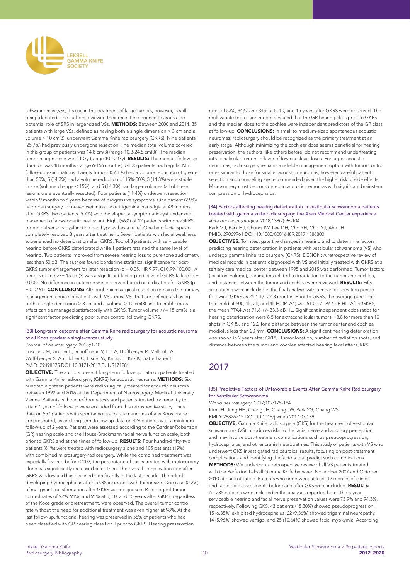

schwannomas (VSs). Its use in the treatment of large tumors, however, is still being debated. The authors reviewed their recent experience to assess the potential role of SRS in larger-sized VSs. METHODS: Between 2000 and 2014, 35 patients with large VSs, defined as having both a single dimension > 3 cm and a volume > 10 cm(3), underwent Gamma Knife radiosurgery (GKRS). Nine patients (25.7%) had previously undergone resection. The median total volume covered in this group of patients was 14.8 cm(3) (range 10.3-24.5 cm(3)). The median tumor margin dose was 11 Gy (range 10-12 Gy). RESULTS: The median follow-up duration was 48 months (range 6-156 months). All 35 patients had regular MRI follow-up examinations. Twenty tumors (57.1%) had a volume reduction of greater than 50%, 5 (14.3%) had a volume reduction of 15%-50%, 5 (14.3%) were stable in size (volume change < 15%), and 5 (14.3%) had larger volumes (all of these lesions were eventually resected). Four patients (11.4%) underwent resection within 9 months to 6 years because of progressive symptoms. One patient (2.9%) had open surgery for new-onset intractable trigeminal neuralgia at 48 months after GKRS. Two patients (5.7%) who developed a symptomatic cyst underwent placement of a cystoperitoneal shunt. Eight (66%) of 12 patients with pre-GKRS trigeminal sensory dysfunction had hypoesthesia relief. One hemifacial spasm completely resolved 3 years after treatment. Seven patients with facial weakness experienced no deterioration after GKRS. Two of 3 patients with serviceable hearing before GKRS deteriorated while 1 patient retained the same level of hearing. Two patients improved from severe hearing loss to pure tone audiometry less than 50 dB. The authors found borderline statistical significance for post-GKRS tumor enlargement for later resection (p = 0.05, HR 9.97, CI 0.99-100.00). A tumor volume  $\ge$ /= 15 cm(3) was a significant factor predictive of GKRS failure (p = 0.005). No difference in outcome was observed based on indication for GKRS (p = 0.0761). **CONCLUSIONS:** Although microsurgical resection remains the primary management choice in patients with VSs, most VSs that are defined as having both a single dimension > 3 cm and a volume > 10 cm(3) and tolerable mass effect can be managed satisfactorily with GKRS. Tumor volume >/= 15 cm(3) is a significant factor predicting poor tumor control following GKRS.

#### [33] Long-term outcome after Gamma Knife radiosurgery for acoustic neuroma of all Koos grades: a single-center study.

*Journal of neurosurgery*. 2018;:1-10

Frischer JM, Gruber E, Schoffmann V, Ertl A, Hoftberger R, Mallouhi A, Wolfsberger S, Arnoldner C, Eisner W, Knosp E, Kitz K, Gatterbauer B PMID: 29498575 DOI: 10.3171/2017.8.JNS171281

OBJECTIVE: The authors present long-term follow-up data on patients treated with Gamma Knife radiosurgery (GKRS) for acoustic neuroma. METHODS: Six hundred eighteen patients were radiosurgically treated for acoustic neuroma between 1992 and 2016 at the Department of Neurosurgery, Medical University Vienna. Patients with neurofibromatosis and patients treated too recently to attain 1 year of follow-up were excluded from this retrospective study. Thus, data on 557 patients with spontaneous acoustic neuroma of any Koos grade are presented, as are long-term follow-up data on 426 patients with a minimum follow-up of 2 years. Patients were assessed according to the Gardner-Robertson (GR) hearing scale and the House-Brackmann facial nerve function scale, both prior to GKRS and at the times of follow-up. **RESULTS:** Four hundred fifty-two patients (81%) were treated with radiosurgery alone and 105 patients (19%) with combined microsurgery-radiosurgery. While the combined treatment was especially favored before 2002, the percentage of cases treated with radiosurgery alone has significantly increased since then. The overall complication rate after GKRS was low and has declined significantly in the last decade. The risk of developing hydrocephalus after GKRS increased with tumor size. One case (0.2%) of malignant transformation after GKRS was diagnosed. Radiological tumor control rates of 92%, 91%, and 91% at 5, 10, and 15 years after GKRS, regardless of the Koos grade or pretreatment, were observed. The overall tumor control rate without the need for additional treatment was even higher at 98%. At the last follow-up, functional hearing was preserved in 55% of patients who had been classified with GR hearing class I or II prior to GKRS. Hearing preservation

rates of 53%, 34%, and 34% at 5, 10, and 15 years after GKRS were observed. The multivariate regression model revealed that the GR hearing class prior to GKRS and the median dose to the cochlea were independent predictors of the GR class at follow-up. **CONCLUSIONS:** In small to medium-sized spontaneous acoustic neuromas, radiosurgery should be recognized as the primary treatment at an early stage. Although minimizing the cochlear dose seems beneficial for hearing preservation, the authors, like others before, do not recommend undertreating intracanalicular tumors in favor of low cochlear doses. For larger acoustic neuromas, radiosurgery remains a reliable management option with tumor control rates similar to those for smaller acoustic neuromas; however, careful patient selection and counseling are recommended given the higher risk of side effects. Microsurgery must be considered in acoustic neuromas with significant brainstem compression or hydrocephalus.

#### [34] Factors affecting hearing deterioration in vestibular schwannoma patients treated with gamma knife radiosurgery: the Asan Medical Center experience. *Acta oto-laryngologica*. 2018;138(2):96-104

Park MJ, Park HJ, Chung JW, Lee DH, Cho YH, Choi YJ, Ahn JH PMID: 29069961 DOI: 10.1080/00016489.2017.1386800

OBJECTIVES: To investigate the changes in hearing and to determine factors predicting hearing deterioration in patients with vestibular schwannoma (VS) who undergo gamma knife radiosurgery (GKRS). DESIGN: A retrospective review of medical records in patients diagnosed with VS and initially treated with GKRS at a tertiary care medical center between 1995 and 2015 was performed. Tumor factors (location, volume), parameters related to irradiation to the tumor and cochlea, and distance between the tumor and cochlea were reviewed. **RESULTS:** Fiftysix patients were included in the final analysis with a mean observation period following GKRS as 24.4 +/- 27.8 months. Prior to GKRS, the average pure tone threshold at 500, 1k, 2k, and 4k Hz (PTA4) was 51.0 +/- 29.7 dB HL. After GKRS, the mean PTA4 was 71.6 +/- 33.3 dB HL. Significant independent odds ratios for hearing deterioration were 8.5 for extracanalicular tumors, 18.8 for more than 10 shots in GKRS, and 12.2 for a distance between the tumor center and cochlea modiolus less than 20 mm. CONCLUSIONS: A significant hearing deterioration was shown in 2 years after GKRS. Tumor location, number of radiation shots, and distance between the tumor and cochlea affected hearing level after GKRS.

# 2017

## [35] Predictive Factors of Unfavorable Events After Gamma Knife Radiosurgery for Vestibular Schwannoma.

*World neurosurgery*. 2017;107:175-184

Kim JH, Jung HH, Chang JH, Chang JW, Park YG, Chang WS PMID: 28826715 DOI: 10.1016/j.wneu.2017.07.139

OBJECTIVE: Gamma Knife radiosurgery (GKS) for the treatment of vestibular schwannoma (VS) introduces risks to the facial nerve and auditory perception and may involve post-treatment complications such as pseudoprogression, hydrocephalus, and other cranial neuropathies. This study of patients with VS who underwent GKS investigated radiosurgical results, focusing on post-treatment complications and identifying the factors that predict such complications. METHODS: We undertook a retrospective review of all VS patients treated with the Perfexion Leksell Gamma Knife between November 2007 and October 2010 at our institution. Patients who underwent at least 12 months of clinical and radiologic assessments before and after GKS were included. RESULTS: All 235 patients were included in the analyses reported here. The 5-year serviceable hearing and facial nerve preservation values were 73.9% and 94.3%, respectively. Following GKS, 43 patients (18.30%) showed pseudoprogression, 15 (6.38%) exhibited hydrocephalus, 22 (9.36%) showed trigeminal neuropathy, 14 (5.96%) showed vertigo, and 25 (10.64%) showed facial myokymia. According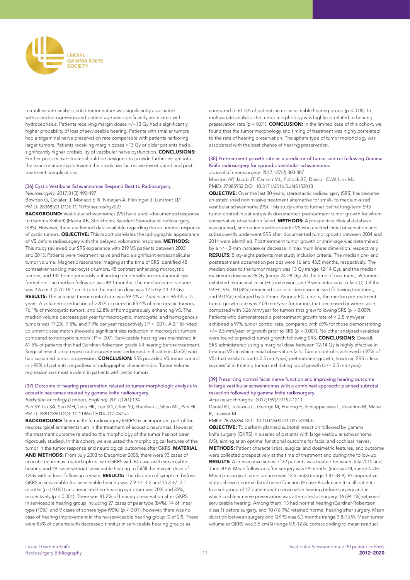

to multivariate analysis, solid tumor nature was significantly associated with pseudoprogression and patient age was significantly associated with hydrocephalus. Patients receiving margin doses >/=13 Gy had a significantly higher probability of loss of serviceable hearing. Patients with smaller tumors had a trigeminal nerve preservation rate comparable with patients harboring larger tumors. Patients receiving margin doses <13 Gy or older patients had a significantly higher probability of vestibular nerve dysfunction. CONCLUSIONS: Further prospective studies should be designed to provide further insight into the exact relationship between the predictive factors we investigated and posttreatment complications.

#### [36] Cystic Vestibular Schwannomas Respond Best to Radiosurgery. *Neurosurgery*. 2017;81(3):490-497

Bowden G, Cavaleri J, Monaco E III, Niranjan A, Flickinger J, Lunsford LD PMID: 28368501 DOI: 10.1093/neuros/nyx027

BACKGROUND: Vestibular schwannomas (VS) have a well-documented response to Gamma Knife(R) (Elekta AB, Stockholm, Sweden) Stereotactic radiosurgery (SRS). However, there are limited data available regarding the volumetric response of cystic tumors. **OBJECTIVE:** This report correlates the radiographic appearance of VS before radiosurgery with the delayed volumetric response. METHODS: This study reviewed our SRS experience with 219 VS patients between 2003 and 2013. Patients were treatment naive and had a significant extracanalicular tumor volume. Magnetic resonance imaging at the time of SRS identified 42 contrast-enhancing macrocystic tumors, 45 contrast-enhancing microcystic tumors, and 132 homogeneously enhancing tumors with no intratumoral cyst formation. The median follow-up was 49.1 months. The median tumor volume was 2.6 cm 3 (0.70-16.1 cm 3 ) and the median dose was 12.5 Gy (11-13 Gy). RESULTS: The actuarial tumor control rate was 99.4% at 2 years and 96.4% at 5 years. A volumetric reduction of >20% occurred in 85.4% of macrocystic tumors, 76.1% of microcystic tumors, and 62.8% of homogeneously enhancing VS. The median volume decrease per year for macrocystic, microcystic, and homogenous tumors was 17.2%, 7.5%, and 7.9% per year respectively ( P < .001). A 2:1 blinded volumetric case match showed a significant size reduction in macrocystic tumors compared to noncystic tumors ( P = .007). Serviceable hearing was maintained in 61.5% of patients that had Gardner-Robertson grade I-II hearing before treatment. Surgical resection or repeat radiosurgery was performed in 8 patients (3.6%) who had sustained tumor progression. CONCLUSION: SRS provided VS tumor control in >95% of patients, regardless of radiographic characteristics. Tumor volume regression was most evident in patients with cystic tumors.

# [37] Outcome of hearing preservation related to tumor morphologic analysis in acoustic neuromas treated by gamma knife radiosurgery.

Radiation oncology (London, England). 2017;12(1):134

Pan SY, Liu SA, Sun MH, Tsou HK, Lee SD, Chen YJ, Sheehan J, Sheu ML, Pan HC PMID: 28810890 DOI: 10.1186/s13014-017-0875-z

BACKGROUND: Gamma Knife radiosurgery (GKRS) is an important part of the neurosurgical armamentarium in the treatment of acoustic neuromas. However, the treatment outcome related to the morphology of the tumor has not been rigorously studied. In this cohort, we evaluated the morphological features of the tumor in the tumor response and neurological outcomes after GKRS. MATERIAL AND METHODS: From July 2003 to December 2008, there were 93 cases of acoustic neuromas treated upfront with GKRS with 64 cases with serviceable hearing and 29 cases without serviceable hearing to fulfill the margin dose of 12Gy with at least follow up 5 years. RESULTS: The duration of symptom before GKRS in serviceable /no serviceable hearing was 7.9 +/- 1.2 and 15.3 +/- 3.1 months (p < 0.001) and associated no-hearing symptom was 70% and 35%, respectively (p < 0.001). There was 81.2% of hearing preservation after GKRS in serviceable hearing group including 27 cases of pear type (84%), 14 of linear type (70%), and 9 cases of sphere type (90%) (p < 0.01); however, there was no case of hearing improvement in the no-serviceable hearing group (0 of 29). There were 85% of patients with decreased tinnitus in serviceable hearing groups as

compared to 61.5% of patients in no serviceable hearing group (p < 0.05). In multivariate analysis, the tumor morphology was highly correlated to hearing preservation rate ( $p < 0.01$ ). **CONCLUSION:** In the limited case of this cohort, we found that the tumor morphology and timing of treatment was highly correlated to the rate of hearing preservation. The sphere type of tumor morphology was associated with the best chance of hearing preservation.

#### [38] Pretreatment growth rate as a predictor of tumor control following Gamma Knife radiosurgery for sporadic vestibular schwannoma. *Journal of neurosurgery*. 2017;127(2):380-387

Marston AP, Jacob JT, Carlson ML, Pollock BE, Driscoll CLW, Link MJ PMID: 27885952 DOI: 10.3171/2016.5.JNS153013

**OBJECTIVE:** Over the last 30 years, stereotactic radiosurgery (SRS) has become an established noninvasive treatment alternative for small- to medium-sized vestibular schwannoma (VS). This study aims to further define long-term SRS tumor control in patients with documented pretreatment tumor growth for whom conservative observation failed. METHODS: A prospective clinical database was queried, and patients with sporadic VS who elected initial observation and subsequently underwent SRS after documented tumor growth between 2004 and 2014 were identified. Posttreatment tumor growth or shrinkage was determined by a >/= 2-mm increase or decrease in maximum linear dimension, respectively. RESULTS: Sixty-eight patients met study inclusion criteria. The median pre- and posttreatment observation periods were 16 and 43.5 months, respectively. The median dose to the tumor margin was 13 Gy (range 12-14 Gy), and the median maximum dose was 26 Gy (range 24-28 Gy). At the time of treatment, 59 tumors exhibited extracanalicular (EC) extension, and 9 were intracanalicular (IC). Of the 59 EC VSs, 50 (85%) remained stable or decreased in size following treatment, and 9 (15%) enlarged by > 2 mm. Among EC tumors, the median pretreatment tumor growth rate was 2.08 mm/year for tumors that decreased or were stable, compared with 3.26 mm/year for tumors that grew following SRS ( $p = 0.009$ ). Patients who demonstrated a pretreatment growth rate of < 2.5 mm/year exhibited a 97% tumor control rate, compared with 69% for those demonstrating  $\ge$ /= 2.5 mm/year of growth prior to SRS (p = 0.007). No other analyzed variables were found to predict tumor growth following SRS. CONCLUSIONS: Overall, SRS administered using a marginal dose between 12-14 Gy is highly effective in treating VSs in which initial observation fails. Tumor control is achieved in 97% of VSs that exhibit slow (< 2.5 mm/year) pretreatment growth; however, SRS is less successful in treating tumors exhibiting rapid growth (>/= 2.5 mm/year).

## [39] Preserving normal facial nerve function and improving hearing outcome in large vestibular schwannomas with a combined approach: planned subtotal resection followed by gamma knife radiosurgery.

*Acta neurochirurgica*. 2017;159(7):1197-1211

Daniel RT, Tuleasca C, George M, Pralong E, Schiappacasse L, Zeverino M, Maire R, Levivier M

PMID: 28516364 DOI: 10.1007/s00701-017-3194-0

OBJECTIVE: To perform planned subtotal resection followed by gamma knife surgery (GKRS) in a series of patients with large vestibular schwannoma (VS), aiming at an optimal functional outcome for facial and cochlear nerves. METHODS: Patient characteristics, surgical and dosimetric features, and outcome were collected prospectively at the time of treatment and during the follow-up. RESULTS: A consecutive series of 32 patients was treated between July 2010 and June 2016. Mean follow-up after surgery was 29 months (median 24, range 4-78). Mean presurgical tumor volume was 12.5 cm(3) (range 1.47-34.9). Postoperative status showed normal facial nerve function (House-Brackmann I) in all patients. In a subgroup of 17 patients with serviceable hearing before surgery and in which cochlear nerve preservation was attempted at surgery, 16 (94.1%) retained serviceable hearing. Among them, 13 had normal hearing (Gardner-Robertson class 1) before surgery, and 10 (76.9%) retained normal hearing after surgery. Mean duration between surgery and GKRS was 6.3 months (range 3.8-13.9). Mean tumor volume at GKRS was 3.5 cm(3) (range 0.5-12.8), corresponding to mean residual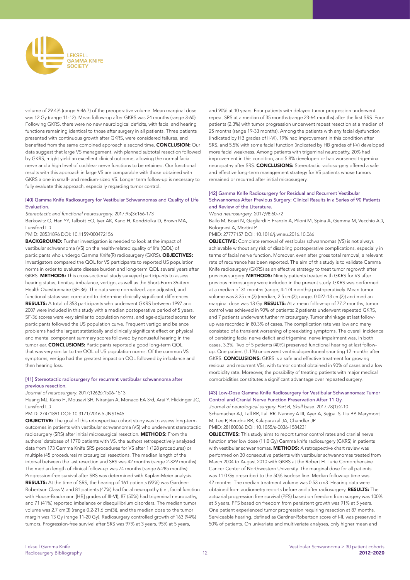

volume of 29.4% (range 6-46.7) of the preoperative volume. Mean marginal dose was 12 Gy (range 11-12). Mean follow-up after GKRS was 24 months (range 3-60). Following GKRS, there were no new neurological deficits, with facial and hearing functions remaining identical to those after surgery in all patients. Three patients presented with continuous growth after GKRS, were considered failures, and benefited from the same combined approach a second time. CONCLUSION: Our data suggest that large VS management, with planned subtotal resection followed by GKRS, might yield an excellent clinical outcome, allowing the normal facial nerve and a high level of cochlear nerve functions to be retained. Our functional results with this approach in large VS are comparable with those obtained with GKRS alone in small- and medium-sized VS. Longer term follow-up is necessary to fully evaluate this approach, especially regarding tumor control.

#### [40] Gamma Knife Radiosurgery for Vestibular Schwannomas and Quality of Life Evaluation.

*Stereotactic and functional neurosurgery*. 2017;95(3):166-173 Berkowitz O, Han YY, Talbott EO, Iyer AK, Kano H, Kondziolka D, Brown MA, Lunsford LD

PMID: 28531896 DOI: 10.1159/000472156

**BACKGROUND:** Further investigation is needed to look at the impact of vestibular schwannoma (VS) on the health-related quality of life (QOL) of participants who undergo Gamma Knife(R) radiosurgery (GKRS). **OBJECTIVES:** Investigators compared the QOL for VS participants to reported US population norms in order to evaluate disease burden and long-term QOL several years after GKRS. **METHODS:** This cross-sectional study surveyed participants to assess hearing status, tinnitus, imbalance, vertigo, as well as the Short-Form 36-item Health Questionnaire (SF-36). The data were normalized, age adjusted, and functional status was correlated to determine clinically significant differences. RESULTS: A total of 353 participants who underwent GKRS between 1997 and 2007 were included in this study with a median postoperative period of 5 years. SF-36 scores were very similar to population norms, and age-adjusted scores for participants followed the US population curve. Frequent vertigo and balance problems had the largest statistically and clinically significant effect on physical and mental component summary scores followed by nonuseful hearing in the tumor ear. **CONCLUSIONS:** Participants reported a good long-term QOL that was very similar to the QOL of US population norms. Of the common VS symptoms, vertigo had the greatest impact on QOL followed by imbalance and then hearing loss.

#### [41] Stereotactic radiosurgery for recurrent vestibular schwannoma after previous resection.

*Journal of neurosurgery*. 2017;126(5):1506-1513

Huang MJ, Kano H, Mousavi SH, Niranjan A, Monaco EA 3rd, Arai Y, Flickinger JC, Lunsford LD

#### PMID: 27471891 DOI: 10.3171/2016.5.JNS1645

OBJECTIVE: The goal of this retrospective cohort study was to assess long-term outcomes in patients with vestibular schwannoma (VS) who underwent stereotactic radiosurgery (SRS) after initial microsurgical resection. METHODS: From the authors' database of 1770 patients with VS, the authors retrospectively analyzed data from 173 Gamma Knife SRS procedures for VS after 1 (128 procedures) or multiple (45 procedures) microsurgical resections. The median length of the interval between the last resection and SRS was 42 months (range 2-329 months). The median length of clinical follow-up was 74 months (range 6-285 months). Progression-free survival after SRS was determined with Kaplan-Meier analysis. RESULTS: At the time of SRS, the hearing of 161 patients (93%) was Gardner-Robertson Class V, and 81 patients (47%) had facial neuropathy (i.e., facial function with House-Brackmann [HB] grades of III-VI), 87 (50%) had trigeminal neuropathy, and 71 (41%) reported imbalance or disequilibrium disorders. The median tumor volume was 2.7 cm(3) (range 0.2-21.6 cm(3)), and the median dose to the tumor margin was 13 Gy (range 11-20 Gy). Radiosurgery controlled growth of 163 (94%) tumors. Progression-free survival after SRS was 97% at 3 years, 95% at 5 years,

and 90% at 10 years. Four patients with delayed tumor progression underwent repeat SRS at a median of 35 months (range 23-64 months) after the first SRS. Four patients (2.3%) with tumor progression underwent repeat resection at a median of 25 months (range 19-33 months). Among the patients with any facial dysfunction (indicated by HB grades of II-VI), 19% had improvement in this condition after SRS, and 5.5% with some facial function (indicated by HB grades of I-V) developed more facial weakness. Among patients with trigeminal neuropathy, 20% had improvement in this condition, and 5.8% developed or had worsened trigeminal neuropathy after SRS. CONCLUSIONS: Stereotactic radiosurgery offered a safe and effective long-term management strategy for VS patients whose tumors remained or recurred after initial microsurgery.

#### [42] Gamma Knife Radiosurgery for Residual and Recurrent Vestibular Schwannomas After Previous Surgery: Clinical Results in a Series of 90 Patients and Review of the Literature.

*World neurosurgery*. 2017;98:60-72

Bailo M, Boari N, Gagliardi F, Franzin A, Piloni M, Spina A, Gemma M, Vecchio AD, Bolognesi A, Mortini P

PMID: 27777157 DOI: 10.1016/j.wneu.2016.10.066

OBJECTIVE: Complete removal of vestibular schwannomas (VS) is not always achievable without any risk of disabling postoperative complications, especially in terms of facial nerve function. Moreover, even after gross total removal, a relevant rate of recurrence has been reported. The aim of this study is to validate Gamma Knife radiosurgery (GKRS) as an effective strategy to treat tumor regrowth after previous surgery. METHODS: Ninety patients treated with GKRS for VS after previous microsurgery were included in the present study. GKRS was performed at a median of 31 months (range, 4-174 months) postoperatively. Mean tumor volume was 3.35 cm(3) (median, 2.5 cm(3); range, 0.027-13 cm(3)) and median marginal dose was 13 Gy. RESULTS: At a mean follow-up of 77.2 months, tumor control was achieved in 90% of patients: 2 patients underwent repeated GKRS, and 7 patients underwent further microsurgery. Tumor shrinkage at last followup was recorded in 80.3% of cases. The complication rate was low and many consisted of a transient worsening of preexisting symptoms. The overall incidence of persisting facial nerve deficit and trigeminal nerve impairment was, in both cases, 3.3%. Two of 5 patients (40%) preserved functional hearing at last followup. One patient (1.1%) underwent ventriculoperitoneal shunting 12 months after GKRS. **CONCLUSIONS:** GKRS is a safe and effective treatment for growing residual and recurrent VSs, with tumor control obtained in 90% of cases and a low morbidity rate. Moreover, the possibility of treating patients with major medical comorbidities constitutes a significant advantage over repeated surgery.

# [43] Low-Dose Gamma Knife Radiosurgery for Vestibular Schwannomas: Tumor Control and Cranial Nerve Function Preservation After 11 Gy.

Journal of neurological surgery. Part B, Skull base. 2017;78(1):2-10 Schumacher AJ, Lall RR, Lall RR, Nanney A III, Ayer A, Sejpal S, Liu BP, Marymont M, Lee P, Bendok BR, Kalapurakal JA, Chandler JP PMID: 28180036 DOI: 10.1055/s-0036-1584231

OBJECTIVES: This study aims to report tumor control rates and cranial nerve function after low dose (11.0 Gy) Gamma knife radiosurgery (GKRS) in patients with vestibular schwannomas. METHODS: A retrospective chart review was performed on 30 consecutive patients with vestibular schwannomas treated from March 2004 to August 2010 with GKRS at the Robert H. Lurie Comprehensive Cancer Center of Northwestern University. The marginal dose for all patients was 11.0 Gy prescribed to the 50% isodose line. Median follow-up time was 42 months. The median treatment volume was 0.53 cm3. Hearing data were obtained from audiometry reports before and after radiosurgery. RESULTS: The actuarial progression free survival (PFS) based on freedom from surgery was 100% at 5 years. PFS based on freedom from persistent growth was 91% at 5 years. One patient experienced tumor progression requiring resection at 87 months. Serviceable hearing, defined as Gardner-Robertson score of I-II, was preserved in 50% of patients. On univariate and multivariate analyses, only higher mean and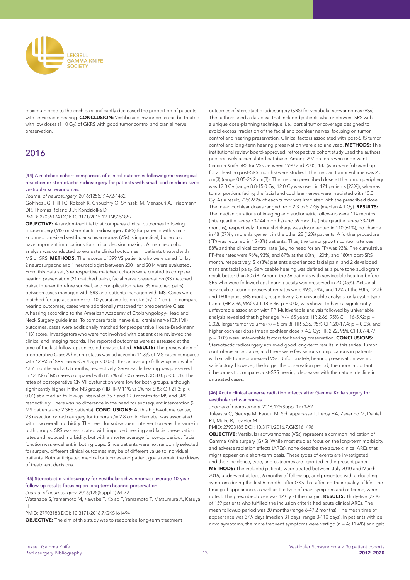

maximum dose to the cochlea significantly decreased the proportion of patients with serviceable hearing. CONCLUSION: Vestibular schwannomas can be treated with low doses (11.0 Gy) of GKRS with good tumor control and cranial nerve preservation.

# 2016

#### [44] A matched cohort comparison of clinical outcomes following microsurgical resection or stereotactic radiosurgery for patients with small- and medium-sized vestibular schwannomas.

*Journal of neurosurgery*. 2016;125(6):1472-1482

Golfinos JG, Hill TC, Rokosh R, Choudhry O, Shinseki M, Mansouri A, Friedmann DR, Thomas Roland J Jr, Kondziolka D

PMID: 27035174 DOI: 10.3171/2015.12.JNS151857

OBJECTIVE: A randomized trial that compares clinical outcomes following microsurgery (MS) or stereotactic radiosurgery (SRS) for patients with smalland medium-sized vestibular schwannomas (VSs) is impractical, but would have important implications for clinical decision making. A matched cohort analysis was conducted to evaluate clinical outcomes in patients treated with MS or SRS. METHODS: The records of 399 VS patients who were cared for by 2 neurosurgeons and 1 neurotologist between 2001 and 2014 were evaluated. From this data set, 3 retrospective matched cohorts were created to compare hearing preservation (21 matched pairs), facial nerve preservation (83 matched pairs), intervention-free survival, and complication rates (85 matched pairs) between cases managed with SRS and patients managed with MS. Cases were matched for age at surgery (+/- 10 years) and lesion size (+/- 0.1 cm). To compare hearing outcomes, cases were additionally matched for preoperative Class A hearing according to the American Academy of Otolaryngology-Head and Neck Surgery guidelines. To compare facial nerve (i.e., cranial nerve [CN] VII) outcomes, cases were additionally matched for preoperative House-Brackmann (HB) score. Investigators who were not involved with patient care reviewed the clinical and imaging records. The reported outcomes were as assessed at the time of the last follow-up, unless otherwise stated. RESULTS: The preservation of preoperative Class A hearing status was achieved in 14.3% of MS cases compared with 42.9% of SRS cases (OR 4.5; p < 0.05) after an average follow-up interval of 43.7 months and 30.3 months, respectively. Serviceable hearing was preserved in 42.8% of MS cases compared with 85.7% of SRS cases (OR 8.0; p < 0.01). The rates of postoperative CN VII dysfunction were low for both groups, although significantly higher in the MS group (HB III-IV 11% vs 0% for SRS; OR 21.3; p < 0.01) at a median follow-up interval of 35.7 and 19.0 months for MS and SRS, respectively. There was no difference in the need for subsequent intervention (2 MS patients and 2 SRS patients). **CONCLUSIONS:** At this high-volume center, VS resection or radiosurgery for tumors </= 2.8 cm in diameter was associated with low overall morbidity. The need for subsequent intervention was the same in both groups. SRS was associated with improved hearing and facial preservation rates and reduced morbidity, but with a shorter average follow-up period. Facial function was excellent in both groups. Since patients were not randomly selected for surgery, different clinical outcomes may be of different value to individual patients. Both anticipated medical outcomes and patient goals remain the drivers of treatment decisions.

#### [45] Stereotactic radiosurgery for vestibular schwannomas: average 10-year follow-up results focusing on long-term hearing preservation.

*Journal of neurosurgery*. 2016;125(Suppl 1):64-72

Watanabe S, Yamamoto M, Kawabe T, Koiso T, Yamamoto T, Matsumura A, Kasuya H

PMID: 27903183 DOI: 10.3171/2016.7.GKS161494

OBJECTIVE: The aim of this study was to reappraise long-term treatment

outcomes of stereotactic radiosurgery (SRS) for vestibular schwannomas (VSs). The authors used a database that included patients who underwent SRS with a unique dose-planning technique, i.e., partial tumor coverage designed to avoid excess irradiation of the facial and cochlear nerves, focusing on tumor control and hearing preservation. Clinical factors associated with post-SRS tumor control and long-term hearing preservation were also analyzed. METHODS: This institutional review board-approved, retrospective cohort study used the authors' prospectively accumulated database. Among 207 patients who underwent Gamma Knife SRS for VSs between 1990 and 2005, 183 (who were followed up for at least 36 post-SRS months) were studied. The median tumor volume was 2.0 cm(3) (range 0.05-26.2 cm(3)). The median prescribed dose at the tumor periphery was 12.0 Gy (range 8.8-15.0 Gy; 12.0 Gy was used in 171 patients [93%]), whereas tumor portions facing the facial and cochlear nerves were irradiated with 10.0 Gy. As a result, 72%-99% of each tumor was irradiated with the prescribed dose. The mean cochlear doses ranged from 2.3 to 5.7 Gy (median 4.1 Gy). RESULTS: The median durations of imaging and audiometric follow-up were 114 months (interquartile range 73-144 months) and 59 months (interquartile range 33-109 months), respectively. Tumor shrinkage was documented in 110 (61%), no change in 48 (27%), and enlargement in the other 22 (12%) patients. A further procedure (FP) was required in 15 (8%) patients. Thus, the tumor growth control rate was 88% and the clinical control rate (i.e., no need for an FP) was 92%. The cumulative FP-free rates were 96%, 93%, and 87% at the 60th, 120th, and 180th post-SRS month, respectively. Six (3%) patients experienced facial pain, and 2 developed transient facial palsy. Serviceable hearing was defined as a pure tone audiogram result better than 50 dB. Among the 66 patients with serviceable hearing before SRS who were followed up, hearing acuity was preserved in 23 (35%). Actuarial serviceable hearing preservation rates were 49%, 24%, and 12% at the 60th, 120th, and 180th post-SRS month, respectively. On univariable analysis, only cystic-type tumor (HR 3.36, 95% CI 1.18-9.36;  $p = 0.02$ ) was shown to have a significantly unfavorable association with FP. Multivariable analysis followed by univariable analysis revealed that higher age  $\ge$ /= 65 years: HR 2.66, 95% CI 1.16-5.92; p = 0.02), larger tumor volume (>/= 8 cm(3): HR 5.36, 95% CI 1.20-17.4; p = 0.03), and higher cochlear dose (mean cochlear dose > 4.2 Gy: HR 2.22, 95% CI 1.07-4.77;  $p = 0.03$ ) were unfavorable factors for hearing preservation. **CONCLUSIONS:** Stereotactic radiosurgery achieved good long-term results in this series. Tumor control was acceptable, and there were few serious complications in patients with small- to medium-sized VSs. Unfortunately, hearing preservation was not satisfactory. However, the longer the observation period, the more important it becomes to compare post-SRS hearing decreases with the natural decline in untreated cases.

#### [46] Acute clinical adverse radiation effects after Gamma Knife surgery for vestibular schwannomas.

*Journal of neurosurgery*. 2016;125(Suppl 1):73-82

Tuleasca C, George M, Faouzi M, Schiappacasse L, Leroy HA, Zeverino M, Daniel RT, Maire R, Levivier M

#### PMID: 27903185 DOI: 10.3171/2016.7.GKS161496

OBJECTIVE: Vestibular schwannomas (VSs) represent a common indication of Gamma Knife surgery (GKS). While most studies focus on the long-term morbidity and adverse radiation effects (AREs), none describe the acute clinical AREs that might appear on a short-term basis. These types of events are investigated, and their incidence, type, and outcomes are reported in the present paper. METHODS: The included patients were treated between July 2010 and March 2016, underwent at least 6 months of follow-up, and presented with a disabling symptom during the first 6 months after GKS that affected their quality of life. The timing of appearance, as well as the type of main symptom and outcome, were noted. The prescribed dose was 12 Gy at the margin. RESULTS: Thirty-five (22%) of 159 patients who fulfilled the inclusion criteria had acute clinical AREs. The mean followup period was 30 months (range 6-49.2 months). The mean time of appearance was 37.9 days (median 31 days; range 3-110 days). In patients with de novo symptoms, the more frequent symptoms were vertigo ( $n = 4$ ; 11.4%) and gait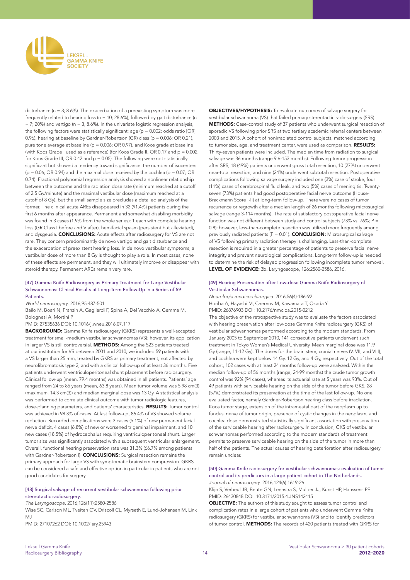

disturbance ( $n = 3$ ; 8.6%). The exacerbation of a preexisting symptom was more frequently related to hearing loss (n = 10; 28.6%), followed by gait disturbance (n  $= 7; 20\%$ ) and vertigo (n  $= 3, 8.6\%$ ). In the univariate logistic regression analysis, the following factors were statistically significant: age ( $p = 0.002$ ; odds ratio [OR] 0.96), hearing at baseline by Gardner-Robertson (GR) class (p = 0.006; OR 0.21), pure tone average at baseline (p = 0.006; OR 0.97), and Koos grade at baseline (with Koos Grade I used as a reference) (for Koos Grade II, OR 0.17 and  $p = 0.002$ ; for Koos Grade III, OR 0.42 and  $p = 0.05$ ). The following were not statistically significant but showed a tendency toward significance: the number of isocenters  $(p = 0.06; \text{OR } 0.94)$  and the maximal dose received by the cochlea  $(p = 0.07; \text{OR } 0.94)$ 0.74). Fractional polynomial regression analysis showed a nonlinear relationship between the outcome and the radiation dose rate (minimum reached at a cutoff of 2.5 Gy/minute) and the maximal vestibular dose (maximum reached at a cutoff of 8 Gy), but the small sample size precludes a detailed analysis of the former. The clinical acute AREs disappeared in 32 (91.4%) patients during the first 6 months after appearance. Permanent and somewhat disabling morbidity was found in 3 cases (1.9% from the whole series): 1 each with complete hearing loss (GR Class I before and V after), hemifacial spasm (persistent but alleviated), and dysgeusia. **CONCLUSIONS:** Acute effects after radiosurgery for VS are not rare. They concern predominantly de novo vertigo and gait disturbance and the exacerbation of preexistent hearing loss. In de novo vestibular symptoms, a vestibular dose of more than 8 Gy is thought to play a role. In most cases, none of these effects are permanent, and they will ultimately improve or disappear with steroid therapy. Permanent AREs remain very rare.

#### [47] Gamma Knife Radiosurgery as Primary Treatment for Large Vestibular Schwannomas: Clinical Results at Long-Term Follow-Up in a Series of 59 Patients.

*World neurosurgery*. 2016;95:487-501

Bailo M, Boari N, Franzin A, Gagliardi F, Spina A, Del Vecchio A, Gemma M, Bolognesi A, Mortini P

PMID: 27535636 DOI: 10.1016/j.wneu.2016.07.117

BACKGROUND: Gamma Knife radiosurgery (GKRS) represents a well-accepted treatment for small-medium vestibular schwannomas (VS); however, its application in larger VS is still controversial. METHODS: Among the 523 patients treated at our institution for VS between 2001 and 2010, we included 59 patients with a VS larger than 25 mm, treated by GKRS as primary treatment, not affected by neurofibromatosis type 2, and with a clinical follow-up of at least 36 months. Five patients underwent ventriculoperitoneal shunt placement before radiosurgery. Clinical follow-up (mean, 79.4 months) was obtained in all patients. Patients' age ranged from 24 to 85 years (mean, 63.8 years). Mean tumor volume was 5.98 cm(3) (maximum, 14.3 cm(3)) and median marginal dose was 13 Gy. A statistical analysis was performed to correlate clinical outcome with tumor radiologic features, dose-planning parameters, and patients' characteristics. RESULTS: Tumor control was achieved in 98.3% of cases. At last follow-up, 86.4% of VS showed volume reduction. Recorded complications were 3 cases (5.1%) of new permanent facial nerve deficit, 4 cases (6.8%) of new or worsened trigeminal impairment, and 10 new cases (18.5%) of hydrocephalus requiring ventriculoperitoneal shunt. Larger tumor size was significantly associated with a subsequent ventricular enlargement. Overall, functional hearing preservation rate was 31.3% (66.7% among patients with Gardner-Robertson I). **CONCLUSIONS:** Surgical resection remains the primary approach for large VS with symptomatic brainstem compression. GKRS can be considered a safe and effective option in particular in patients who are not good candidates for surgery.

#### [48] Surgical salvage of recurrent vestibular schwannoma following prior stereotactic radiosurgery.

The Laryngoscope. 2016;126(11):2580-2586

Wise SC, Carlson ML, Tveiten OV, Driscoll CL, Myrseth E, Lund-Johansen M, Link  $M<sub>1</sub>$ 

PMID: 27107262 DOI: 10.1002/lary.25943

OBJECTIVES/HYPOTHESIS: To evaluate outcomes of salvage surgery for vestibular schwannoma (VS) that failed primary stereotactic radiosurgery (SRS). METHODS: Case-control study of 37 patients who underwent surgical resection of sporadic VS following prior SRS at two tertiary academic referral centers between 2003 and 2015. A cohort of nonirradiated control subjects, matched according to tumor size, age, and treatment center, were used as comparison. RESULTS: Thirty-seven patients were included. The median time from radiation to surgical salvage was 36 months (range 9.6-153 months). Following tumor progression after SRS, 18 (49%) patients underwent gross total resection, 10 (27%) underwent near-total resection, and nine (24%) underwent subtotal resection. Postoperative complications following salvage surgery included one (3%) case of stroke, four (11%) cases of cerebrospinal fluid leak, and two (5%) cases of meningitis. Twentyseven (73%) patients had good postoperative facial nerve outcome (House-Brackmann Score I-II) at long-term follow-up. There were no cases of tumor recurrence or regrowth after a median length of 26 months following microsurgical salvage (range 3-114 months). The rate of satisfactory postoperative facial nerve function was not different between study and control subjects (73% vs. 76%;  $P =$ 0.8); however, less-than-complete resection was utilized more frequently among previously radiated patients ( $P = 0.01$ ). **CONCLUSION:** Microsurgical salvage of VS following primary radiation therapy is challenging. Less-than-complete resection is required in a greater percentage of patients to preserve facial nerve integrity and prevent neurological complications. Long-term follow-up is needed to determine the risk of delayed progression following incomplete tumor removal. LEVEL OF EVIDENCE: 3b. Laryngoscope, 126:2580-2586, 2016.

#### [49] Hearing Preservation after Low-dose Gamma Knife Radiosurgery of Vestibular Schwannomas.

Neurologia medico-chirurgica. 2016;56(4):186-92 Horiba A, Hayashi M, Chernov M, Kawamata T, Okada Y PMID: 26876903 DOI: 10.2176/nmc.oa.2015-0212

The objective of the retrospective study was to evaluate the factors associated with hearing preservation after low-dose Gamma Knife radiosurgery (GKS) of vestibular schwannomas performed according to the modern standards. From January 2005 to September 2010, 141 consecutive patients underwent such treatment in Tokyo Women's Medical University. Mean marginal dose was 11.9 Gy (range, 11-12 Gy). The doses for the brain stem, cranial nerves (V, VII, and VIII), and cochlea were kept below 14 Gy, 12 Gy, and 4 Gy, respectively. Out of the total cohort, 102 cases with at least 24 months follow-up were analyzed. Within the median follow-up of 56 months (range, 24-99 months) the crude tumor growth control was 92% (94 cases), whereas its actuarial rate at 5 years was 93%. Out of 49 patients with serviceable hearing on the side of the tumor before GKS, 28 (57%) demonstrated its preservation at the time of the last follow-up. No one evaluated factor, namely Gardner-Robertson hearing class before irradiation, Koos tumor stage, extension of the intrameatal part of the neoplasm up to fundus, nerve of tumor origin, presence of cystic changes in the neoplasm, and cochlea dose demonstrated statistically significant association with preservation of the serviceable hearing after radiosurgery. In conclusion, GKS of vestibular schwannomas performed according to the modern standards of treatment permits to preserve serviceable hearing on the side of the tumor in more than half of the patients. The actual causes of hearing deterioration after radiosurgery remain unclear.

#### [50] Gamma Knife radiosurgery for vestibular schwannomas: evaluation of tumor control and its predictors in a large patient cohort in The Netherlands. *Journal of neurosurgery*. 2016;124(6):1619-26

Klijn S, Verheul JB, Beute GN, Leenstra S, Mulder JJ, Kunst HP, Hanssens PE PMID: 26430848 DOI: 10.3171/2015.4.JNS142415

OBJECTIVE: The authors of this study sought to assess tumor control and complication rates in a large cohort of patients who underwent Gamma Knife radiosurgery (GKRS) for vestibular schwannoma (VS) and to identify predictors of tumor control. METHODS: The records of 420 patients treated with GKRS for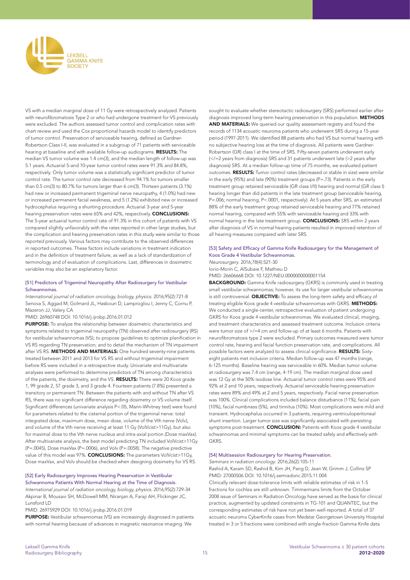

VS with a median marginal dose of 11 Gy were retrospectively analyzed. Patients with neurofibromatosis Type 2 or who had undergone treatment for VS previously were excluded. The authors assessed tumor control and complication rates with chart review and used the Cox proportional hazards model to identify predictors of tumor control. Preservation of serviceable hearing, defined as Gardner-Robertson Class I-II, was evaluated in a subgroup of 71 patients with serviceable hearing at baseline and with available follow-up audiograms. RESULTS: The median VS tumor volume was 1.4 cm(3), and the median length of follow-up was 5.1 years. Actuarial 5-and 10-year tumor control rates were 91.3% and 84.8%, respectively. Only tumor volume was a statistically significant predictor of tumor control rate. The tumor control rate decreased from 94.1% for tumors smaller than 0.5 cm(3) to 80.7% for tumors larger than 6 cm(3). Thirteen patients (3.1%) had new or increased permanent trigeminal nerve neuropathy, 4 (1.0%) had new or increased permanent facial weakness, and 5 (1.2%) exhibited new or increased hydrocephalus requiring a shunting procedure. Actuarial 3-year and 5-year hearing preservation rates were 65% and 42%, respectively. CONCLUSIONS: The 5-year actuarial tumor control rate of 91.3% in this cohort of patients with VS compared slightly unfavorably with the rates reported in other large studies, but the complication and hearing preservation rates in this study were similar to those reported previously. Various factors may contribute to the observed differences in reported outcomes. These factors include variations in treatment indication and in the definition of treatment failure, as well as a lack of standardization of terminology and of evaluation of complications. Last, differences in dosimetric variables may also be an explanatory factor.

#### [51] Predictors of Trigeminal Neuropathy After Radiosurgery for Vestibular **Schwannomas**

International journal of radiation oncology, biology, physics. 2016;95(2):721-8 Senova S, Aggad M, Golmard JL, Hasboun D, Lamproglou I, Jenny C, Cornu P, Mazeron JJ, Valery CA

#### PMID: 26960748 DOI: 10.1016/j.ijrobp.2016.01.012

PURPOSE: To analyze the relationship between dosimetric characteristics and symptoms related to trigeminal neuropathy (TN) observed after radiosurgery (RS) for vestibular schwannomas (VS); to propose guidelines to optimize planification in VS RS regarding TN preservation; and to detail the mechanism of TN impairment after VS RS. METHODS AND MATERIALS: One hundred seventy-nine patients treated between 2011 and 2013 for VS RS and without trigeminal impairment before RS were included in a retrospective study. Univariate and multivariate analyses were performed to determine predictors of TN among characteristics of the patients, the dosimetry, and the VS. RESULTS: There were 20 Koos grade 1, 99 grade 2, 57 grade 3, and 3 grade 4. Fourteen patients (7.8%) presented a transitory or permanent TN. Between the patients with and without TN after VS RS, there was no significant difference regarding dosimetry or VS volume itself. Significant differences (univariate analysis P<.05, Mann-Whitney test) were found for parameters related to the cisternal portion of the trigeminal nerve: total integrated dose, maximum dose, mean dose, volume of the Vth nerve (Volv), and volume of the Vth nerve receiving at least 11 Gy (VolVcist>11Gy), but also for maximal dose to the Vth nerve nucleus and intra-axial portion (Dose maxVax). After multivariate analysis, the best model predicting TN included VolVcist>11Gy (P=.0045), Dose maxVax (P=.0006), and Volv (P=.0058). The negative predictive value of this model was 97%. **CONCLUSIONS:** The parameters VolVcist>11Gy, Dose maxVax, and Volv should be checked when designing dosimetry for VS RS.

# [52] Early Radiosurgery Improves Hearing Preservation in Vestibular

Schwannoma Patients With Normal Hearing at the Time of Diagnosis. International journal of radiation oncology, biology, physics. 2016;95(2):729-34 Akpinar B, Mousavi SH, McDowell MM, Niranjan A, Faraji AH, Flickinger JC, Lunsford LD

PMID: 26975929 DOI: 10.1016/j.ijrobp.2016.01.019

PURPOSE: Vestibular schwannomas (VS) are increasingly diagnosed in patients with normal hearing because of advances in magnetic resonance imaging. We

sought to evaluate whether stereotactic radiosurgery (SRS) performed earlier after diagnosis improved long-term hearing preservation in this population. METHODS AND MATERIALS: We queried our quality assessment registry and found the records of 1134 acoustic neuroma patients who underwent SRS during a 15-year period (1997-2011). We identified 88 patients who had VS but normal hearing with no subjective hearing loss at the time of diagnosis. All patients were Gardner-Robertson (GR) class I at the time of SRS. Fifty-seven patients underwent early (</=2 years from diagnosis) SRS and 31 patients underwent late (>2 years after diagnosis) SRS. At a median follow-up time of 75 months, we evaluated patient outcomes. RESULTS: Tumor control rates (decreased or stable in size) were similar in the early (95%) and late (90%) treatment groups (P=.73). Patients in the early treatment group retained serviceable (GR class I/II) hearing and normal (GR class I) hearing longer than did patients in the late treatment group (serviceable hearing, P=.006; normal hearing, P<.0001, respectively). At 5 years after SRS, an estimated 88% of the early treatment group retained serviceable hearing and 77% retained normal hearing, compared with 55% with serviceable hearing and 33% with normal hearing in the late treatment group. **CONCLUSIONS:** SRS within 2 years after diagnosis of VS in normal hearing patients resulted in improved retention of all hearing measures compared with later SRS.

## [53] Safety and Efficacy of Gamma Knife Radiosurgery for the Management of Koos Grade 4 Vestibular Schwannomas.

*Neurosurgery*. 2016;78(4):521-30 Iorio-Morin C, AlSubaie F, Mathieu D PMID: 26606668 DOI: 10.1227/NEU.0000000000001154

BACKGROUND: Gamma Knife radiosurgery (GKRS) is commonly used in treating small vestibular schwannomas; however, its use for larger vestibular schwannomas is still controversial. **OBJECTIVE:** To assess the long-term safety and efficacy of treating eligible Koos grade 4 vestibular schwannomas with GKRS. METHODS: We conducted a single-center, retrospective evaluation of patient undergoing GKRS for Koos grade 4 vestibular schwannomas. We evaluated clinical, imaging, and treatment characteristics and assessed treatment outcome. Inclusion criteria were tumor size of  $\ge$ /=4 cm and follow-up of at least 6 months. Patients with neurofibromatosis type 2 were excluded. Primary outcomes measured were tumor control rate, hearing and facial function preservation rate, and complications. All possible factors were analyzed to assess clinical significance. RESULTS: Sixtyeight patients met inclusion criteria. Median follow-up was 47 months (range, 6-125 months). Baseline hearing was serviceable in 60%. Median tumor volume at radiosurgery was 7.4 cm (range, 4-19 cm). The median marginal dose used was 12 Gy at the 50% isodose line. Actuarial tumor control rates were 95% and 92% at 2 and 10 years, respectively. Actuarial serviceable hearing preservation rates were 89% and 49% at 2 and 5 years, respectively. Facial nerve preservation was 100%. Clinical complications included balance disturbance (11%), facial pain (10%), facial numbness (5%), and tinnitus (10%). Most complications were mild and transient. Hydrocephalus occurred in 3 patients, requiring ventriculoperitoneal shunt insertion. Larger tumor size was significantly associated with persisting symptoms post-treatment. **CONCLUSION:** Patients with Koos grade 4 vestibular schwannomas and minimal symptoms can be treated safely and effectively with **GKRS** 

#### [54] Multisession Radiosurgery for Hearing Preservation.

Seminars in radiation oncology. 2016;26(2):105-11

Rashid A, Karam SD, Rashid B, Kim JH, Pang D, Jean W, Grimm J, Collins SP PMID: 27000506 DOI: 10.1016/j.semradonc.2015.11.004

Clinically relevant dose-tolerance limits with reliable estimates of risk in 1-5 fractions for cochlea are still unknown. Timmermans limits from the October 2008 issue of Seminars in Radiation Oncology have served as the basis for clinical practice, augmented by updated constraints in TG-101 and QUANTEC, but the corresponding estimates of risk have not yet been well-reported. A total of 37 acoustic neuroma CyberKnife cases from Medstar Georgetown University Hospital treated in 3 or 5 fractions were combined with single-fraction Gamma Knife data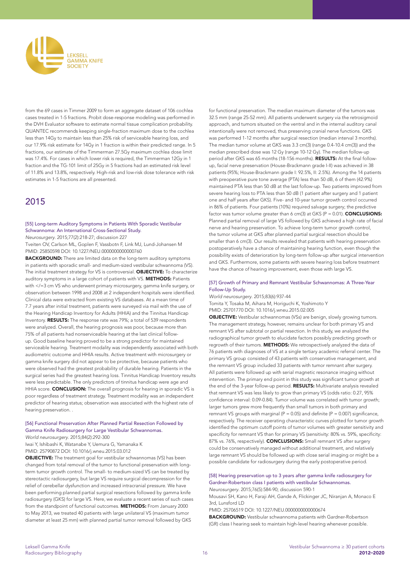

from the 69 cases in Timmer 2009 to form an aggregate dataset of 106 cochlea cases treated in 1-5 fractions. Probit dose-response modeling was performed in the DVH Evaluator software to estimate normal tissue complication probability. QUANTEC recommends keeping single-fraction maximum dose to the cochlea less than 14Gy to maintain less than 25% risk of serviceable hearing loss, and our 17.9% risk estimate for 14Gy in 1 fraction is within their predicted range. In 5 fractions, our estimate of the Timmerman 27.5Gy maximum cochlea dose limit was 17.4%. For cases in which lower risk is required, the Timmerman 12Gy in 1 fraction and the TG-101 limit of 25Gy in 5 fractions had an estimated risk level of 11.8% and 13.8%, respectively. High-risk and low-risk dose tolerance with risk estimates in 1-5 fractions are all presented.

# 2015

#### [55] Long-term Auditory Symptoms in Patients With Sporadic Vestibular Schwannoma: An International Cross-Sectional Study.

*Neurosurgery*. 2015;77(2):218-27; discussion 227

Tveiten OV, Carlson ML, Goplen F, Vassbotn F, Link MJ, Lund-Johansen M PMID: 25850598 DOI: 10.1227/NEU.0000000000000760

BACKGROUND: There are limited data on the long-term auditory symptoms in patients with sporadic small- and medium-sized vestibular schwannoma (VS). The initial treatment strategy for VS is controversial. OBJECTIVE: To characterize auditory symptoms in a large cohort of patients with VS. **METHODS:** Patients with </=3 cm VS who underwent primary microsurgery, gamma knife surgery, or observation between 1998 and 2008 at 2 independent hospitals were identified. Clinical data were extracted from existing VS databases. At a mean time of 7.7 years after initial treatment, patients were surveyed via mail with the use of the Hearing Handicap Inventory for Adults (HHIA) and the Tinnitus Handicap Inventory. RESULTS: The response rate was 79%; a total of 539 respondents were analyzed. Overall, the hearing prognosis was poor, because more than 75% of all patients had nonserviceable hearing at the last clinical followup. Good baseline hearing proved to be a strong predictor for maintained serviceable hearing. Treatment modality was independently associated with both audiometric outcome and HHIA results. Active treatment with microsurgery or gamma knife surgery did not appear to be protective, because patients who were observed had the greatest probability of durable hearing. Patients in the surgical series had the greatest hearing loss. Tinnitus Handicap Inventory results were less predictable. The only predictors of tinnitus handicap were age and HHIA score. CONCLUSION: The overall prognosis for hearing in sporadic VS is poor regardless of treatment strategy. Treatment modality was an independent predictor of hearing status; observation was associated with the highest rate of hearing preservation. .

#### [56] Functional Preservation After Planned Partial Resection Followed by Gamma Knife Radiosurgery for Large Vestibular Schwannomas.

*World neurosurgery*. 2015;84(2):292-300

Iwai Y, Ishibashi K, Watanabe Y, Uemura G, Yamanaka K PMID: 25790872 DOI: 10.1016/j.wneu.2015.03.012

OBJECTIVE: The treatment goal for vestibular schwannomas (VS) has been changed from total removal of the tumor to functional preservation with longterm tumor growth control. The small- to medium-sized VS can be treated by stereotactic radiosurgery, but large VS require surgical decompression for the relief of cerebellar dysfunction and increased intracranial pressure. We have been performing planned partial surgical resections followed by gamma knife radiosurgery (GKS) for large VS. Here, we evaluate a recent series of such cases from the standpoint of functional outcomes. **METHODS:** From January 2000 to May 2013, we treated 40 patients with large unilateral VS (maximum tumor diameter at least 25 mm) with planned partial tumor removal followed by GKS

for functional preservation. The median maximum diameter of the tumors was 32.5 mm (range 25-52 mm). All patients underwent surgery via the retrosigmoid approach, and tumors situated on the ventral and in the internal auditory canal intentionally were not removed, thus preserving cranial nerve functions. GKS was performed 1-12 months after surgical resection (median interval 3 months). The median tumor volume at GKS was 3.3 cm(3) (range 0.4-10.4 cm(3)) and the median prescribed dose was 12 Gy (range 10-12 Gy). The median follow-up period after GKS was 65 months (18-156 months). RESULTS: At the final followup, facial nerve preservation (House-Brackmann grade I-II) was achieved in 38 patients (95%; House-Brackmann grade I: 92.5%, II: 2.5%). Among the 14 patients with preoperative pure tone average (PTA) less than 50 dB, 6 of them (42.9%) maintained PTA less than 50 dB at the last follow-up. Two patients improved from severe hearing loss to PTA less than 50 dB (1 patient after surgery and 1 patient one and half years after GKS). Five- and 10-year tumor growth control occurred in 86% of patients. Four patients (10%) required salvage surgery; the predictive factor was tumor volume greater than 6 cm(3) at GKS ( $P = 0.01$ ). **CONCLUSIONS:** Planned partial removal of large VS followed by GKS achieved a high rate of facial nerve and hearing preservation. To achieve long-term tumor growth control, the tumor volume at GKS after planned partial surgical resection should be smaller than 6 cm(3). Our results revealed that patients with hearing preservation postoperatively have a chance of maintaining hearing function, even though the possibility exists of deterioration by long-term follow-up after surgical intervention and GKS. Furthermore, some patients with severe hearing loss before treatment have the chance of hearing improvement, even those with large VS.

#### [57] Growth of Primary and Remnant Vestibular Schwannomas: A Three-Year Follow-Up Study.

*World neurosurgery*. 2015;83(6):937-44 Tomita Y, Tosaka M, Aihara M, Horiguchi K, Yoshimoto Y PMID: 25701770 DOI: 10.1016/j.wneu.2015.02.005

**OBJECTIVE:** Vestibular schwannomas (VSs) are benign, slowly growing tumors. The management strategy, however, remains unclear for both primary VS and remnant VS after subtotal or partial resection. In this study, we analyzed the radiographical tumor growth to elucidate factors possibly predicting growth or regrowth of their tumors. METHODS: We retrospectively analyzed the data of 76 patients with diagnoses of VS at a single tertiary academic referral center. The primary VS group consisted of 43 patients with conservative management, and the remnant VS group included 33 patients with tumor remnant after surgery. All patients were followed up with serial magnetic resonance imaging without intervention. The primary end point in this study was significant tumor growth at the end of the 3-year follow-up period. RESULTS: Multivariate analysis revealed that remnant VS was less likely to grow than primary VS (odds ratio: 0.27, 95% confidence interval: 0.09-0.84). Tumor volume was correlated with tumor growth; larger tumors grew more frequently than small tumors in both primary and remnant VS groups with marginal ( $P = 0.05$ ) and definite ( $P = 0.007$ ) significance, respectively. The receiver operating characteristic curves plotted for tumor growth identified the optimum cutoff points of tumor volumes with greater sensitivity and specificity for remnant VS than for primary VS (sensitivity: 80% vs. 59%, specificity: 87% vs. 76%, respectively). **CONCLUSIONS:** Small remnant VS after surgery could be conservatively managed without additional treatment, and relatively large remnant VS should be followed up with close serial imaging or might be a possible candidate for radiosurgery during the early postoperative period.

#### [58] Hearing preservation up to 3 years after gamma knife radiosurgery for Gardner-Robertson class I patients with vestibular Schwannomas. *Neurosurgery*. 2015;76(5):584-90; discussion 590-1

Mousavi SH, Kano H, Faraji AH, Gande A, Flickinger JC, Niranjan A, Monaco E 3rd, Lunsford LD

PMID: 25706519 DOI: 10.1227/NEU.0000000000000674

BACKGROUND: Vestibular schwannoma patients with Gardner-Robertson (GR) class I hearing seek to maintain high-level hearing whenever possible.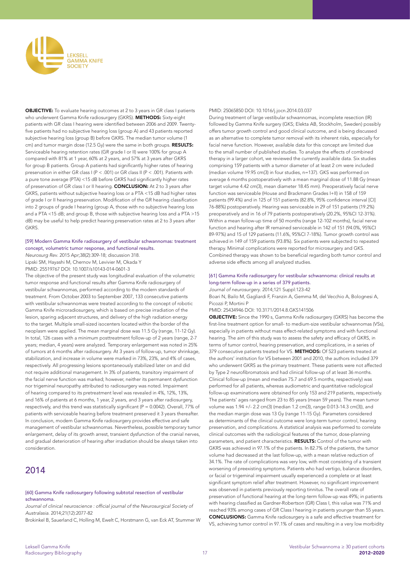

OBJECTIVE: To evaluate hearing outcomes at 2 to 3 years in GR class I patients who underwent Gamma Knife radiosurgery (GKRS). METHODS: Sixty-eight patients with GR class I hearing were identified between 2006 and 2009. Twentyfive patients had no subjective hearing loss (group A) and 43 patients reported subjective hearing loss (group B) before GKRS. The median tumor volume (1 cm) and tumor margin dose (12.5 Gy) were the same in both groups. RESULTS: Serviceable hearing retention rates (GR grade I or II) were 100% for group A compared with 81% at 1 year, 60% at 2 years, and 57% at 3 years after GKRS for group B patients. Group A patients had significantly higher rates of hearing preservation in either GR class I (P < .001) or GR class II (P < .001). Patients with a pure tone average (PTA) <15 dB before GKRS had significantly higher rates of preservation of GR class I or II hearing. CONCLUSION: At 2 to 3 years after GKRS, patients without subjective hearing loss or a PTA <15 dB had higher rates of grade I or II hearing preservation. Modification of the GR hearing classification into 2 groups of grade I hearing (group A, those with no subjective hearing loss and a PTA <15 dB; and group B, those with subjective hearing loss and a PTA >15 dB) may be useful to help predict hearing preservation rates at 2 to 3 years after **GKRS** 

#### [59] Modern Gamma Knife radiosurgery of vestibular schwannomas: treatment concept, volumetric tumor response, and functional results.

*Neurosurg Rev*. 2015 Apr;38(2):309-18; discussion 318. Lipski SM, Hayashi M, Chernov M, Levivier M, Okada Y PMID: 25519767 DOI: 10.1007/s10143-014-0601-3

The objective of the present study was longitudinal evaluation of the volumetric tumor response and functional results after Gamma Knife radiosurgery of vestibular schwannomas, performed according to the modern standards of treatment. From October 2003 to September 2007, 133 consecutive patients with vestibular schwannomas were treated according to the concept of robotic Gamma Knife microradiosurgery, which is based on precise irradiation of the lesion, sparing adjacent structures, and delivery of the high radiation energy to the target. Multiple small-sized isocenters located within the border of the neoplasm were applied. The mean marginal dose was 11.5 Gy (range, 11-12 Gy). In total, 126 cases with a minimum posttreatment follow-up of 2 years (range, 2-7 years; median, 4 years) were analyzed. Temporary enlargement was noted in 25% of tumors at 6 months after radiosurgery. At 3 years of follow-up, tumor shrinkage, stabilization, and increase in volume were marked in 73%, 23%, and 4% of cases, respectively. All progressing lesions spontaneously stabilized later on and did not require additional management. In 3% of patients, transitory impairment of the facial nerve function was marked; however, neither its permanent dysfunction nor trigeminal neuropathy attributed to radiosurgery was noted. Impairment of hearing compared to its pretreatment level was revealed in 4%, 12%, 13%, and 16% of patients at 6 months, 1 year, 2 years, and 3 years after radiosurgery, respectively, and this trend was statistically significant (P = 0.0042). Overall, 77% of patients with serviceable hearing before treatment preserved it 3 years thereafter. In conclusion, modern Gamma Knife radiosurgery provides effective and safe management of vestibular schwannomas. Nevertheless, possible temporary tumor enlargement, delay of its growth arrest, transient dysfunction of the cranial nerves, and gradual deterioration of hearing after irradiation should be always taken into consideration.

# 2014

#### [60] Gamma Knife radiosurgery following subtotal resection of vestibular schwannoma.

Journal of clinical neuroscience : official journal of the Neurosurgical Society of *Australasia*. 2014;21(12):2077-82

Brokinkel B, Sauerland C, Holling M, Ewelt C, Horstmann G, van Eck AT, Stummer W

#### PMID: 25065850 DOI: 10.1016/j.jocn.2014.03.037

During treatment of large vestibular schwannomas, incomplete resection (IR) followed by Gamma Knife surgery (GKS; Elekta AB, Stockholm, Sweden) possibly offers tumor growth control and good clinical outcome, and is being discussed as an alternative to complete tumor removal with its inherent risks, especially for facial nerve function. However, available data for this concept are limited due to the small number of published studies. To analyze the effects of combined therapy in a larger cohort, we reviewed the currently available data. Six studies comprising 159 patients with a tumor diameter of at least 2 cm were included (median volume 19.95 cm(3) in four studies, n=137). GKS was performed on average 6 months postoperatively with a mean marginal dose of 11.88 Gy (mean target volume 4.42 cm(3), mean diameter 18.45 mm). Preoperatively facial nerve function was serviceable (House and Brackmann Grades I+II) in 158 of 159 patients (99.4%) and in 125 of 151 patients (82.8%, 95% confidence interval [CI] 76-88%) postoperatively. Hearing was serviceable in 29 of 151 patients (19.2%) preoperatively and in 16 of 79 patients postoperatively (20.2%, 95%CI 12-31%). Within a mean follow-up time of 50 months (range 12-102 months), facial nerve function and hearing after IR remained serviceable in 142 of 151 (94.0%, 95%CI 89-97%) and 15 of 129 patients (11.6%, 95%CI 7-18%). Tumor growth control was achieved in 149 of 159 patients (93.8%). Six patients were subjected to repeated therapy. Minimal complications were reported for microsurgery and GKS. Combined therapy was shown to be beneficial regarding both tumor control and adverse side effects among all analyzed studies.

#### [61] Gamma Knife radiosurgery for vestibular schwannoma: clinical results at long-term follow-up in a series of 379 patients.

*Journal of neurosurgery*. 2014;121 Suppl:123-42 Boari N, Bailo M, Gagliardi F, Franzin A, Gemma M, del Vecchio A, Bolognesi A,

Picozzi P, Mortini P

PMID: 25434946 DOI: 10.3171/2014.8.GKS141506

OBJECTIVE: Since the 1990 s, Gamma Knife radiosurgery (GKRS) has become the first-line treatment option for small- to medium-size vestibular schwannomas (VSs), especially in patients without mass effect-related symptoms and with functional hearing. The aim of this study was to assess the safety and efficacy of GKRS, in terms of tumor control, hearing preservation, and complications, in a series of 379 consecutive patients treated for VS. METHODS: Of 523 patients treated at the authors' institution for VS between 2001 and 2010, the authors included 379 who underwent GKRS as the primary treatment. These patients were not affected by Type 2 neurofibromatosis and had clinical follow-up of at least 36 months. Clinical follow-up (mean and median 75.7 and 69.5 months, respectively) was performed for all patients, whereas audiometric and quantitative radiological follow-up examinations were obtained for only 153 and 219 patients, respectively. The patients' ages ranged from 23 to 85 years (mean 59 years). The mean tumor volume was 1.94 +/- 2.2 cm(3) (median 1.2 cm(3), range 0.013-14.3 cm(3)), and the median margin dose was 13 Gy (range 11-15 Gy). Parameters considered as determinants of the clinical outcome were long-term tumor control, hearing preservation, and complications. A statistical analysis was performed to correlate clinical outcomes with the radiological features of the tumor, dose-planning parameters, and patient characteristics. RESULTS: Control of the tumor with GKRS was achieved in 97.1% of the patients. In 82.7% of the patients, the tumor volume had decreased at the last follow-up, with a mean relative reduction of 34.1%. The rate of complications was very low, with most consisting of a transient worsening of preexisting symptoms. Patients who had vertigo, balance disorders, or facial or trigeminal impairment usually experienced a complete or at least significant symptom relief after treatment. However, no significant improvement was observed in patients previously reporting tinnitus. The overall rate of preservation of functional hearing at the long-term follow-up was 49%; in patients with hearing classified as Gardner-Robertson (GR) Class I, this value was 71% and reached 93% among cases of GR Class I hearing in patients younger than 55 years. CONCLUSIONS: Gamma Knife radiosurgery is a safe and effective treatment for VS, achieving tumor control in 97.1% of cases and resulting in a very low morbidity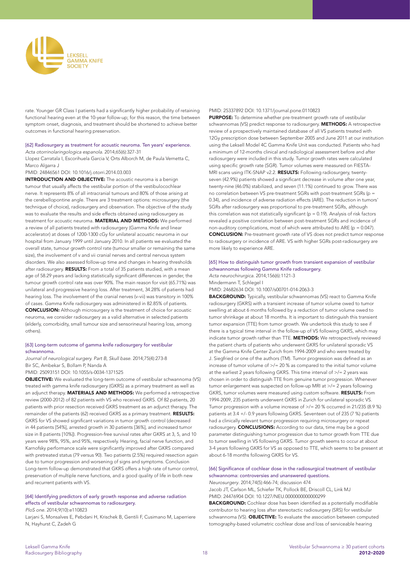

rate. Younger GR Class I patients had a significantly higher probability of retaining functional hearing even at the 10-year follow-up; for this reason, the time between symptom onset, diagnosis, and treatment should be shortened to achieve better outcomes in functional hearing preservation.

#### [62] Radiosurgery as treatment for acoustic neuroma. Ten years' experience. Acta otorrinolaringologica espanola. 2014;65(6):327-31

Llopez Carratala I, Escorihuela Garcia V, Orts Alborch M, de Paula Vernetta C, Marco Algarra J

PMID: 24846561 DOI: 10.1016/j.otorri.2014.03.003

INTRODUCTION AND OBJECTIVE: The acoustic neuroma is a benign tumour that usually affects the vestibular portion of the vestibulocochlear nerve. It represents 8% of all intracranial tumours and 80% of those arising at the cerebellopontine angle. There are 3 treatment options: microsurgery (the technique of choice), radiosurgery and observation. The objective of the study was to evaluate the results and side effects obtained using radiosurgery as treatment for acoustic neuroma. MATERIAL AND METHODS: We performed a review of all patients treated with radiosurgery (Gamma Knife and linear accelerator) at doses of 1200-1300 cGy for unilateral acoustic neuroma in our hospital from January 1999 until January 2010. In all patients we evaluated the overall state, tumour growth control rate (tumour smaller or remaining the same size), the involvement of v and vii cranial nerves and central nervous system disorders. We also assessed follow-up time and changes in hearing thresholds after radiosurgery. RESULTS: From a total of 35 patients studied, with a mean age of 58.29 years and lacking statistically significant differences in gender, the tumour growth control rate was over 90%. The main reason for visit (65.71%) was unilateral and progressive hearing loss. After treatment, 34.28% of patients had hearing loss. The involvement of the cranial nerves (v-vii) was transitory in 100% of cases. Gamma Knife radiosurgery was administered in 82.85% of patients. CONCLUSION: Although microsurgery is the treatment of choice for acoustic neuroma, we consider radiosurgery as a valid alternative in selected patients (elderly, comorbidity, small tumour size and sensorineural hearing loss, among others).

# [63] Long-term outcome of gamma knife radiosurgery for vestibular schwannoma.

Journal of neurological surgery. Part B, Skull base. 2014;75(4):273-8 Bir SC, Ambekar S, Bollam P, Nanda A PMID: 25093151 DOI: 10.1055/s-0034-1371525

OBJECTIVE: We evaluated the long-term outcome of vestibular schwannoma (VS) treated with gamma knife radiosurgery (GKRS) as a primary treatment as well as an adjunct therapy. MATERIALS AND METHODS: We performed a retrospective review (2000-2012) of 82 patients with VS who received GKRS. Of 82 patients, 20 patients with prior resection received GKRS treatment as an adjunct therapy. The remainder of the patients (62) received GKRS as a primary treatment. RESULTS: GKRS for VS showed significant variations in tumor growth control (decreased in 44 patients [54%], arrested growth in 30 patients [36%], and increased tumor size in 8 patients [10%]). Progression-free survival rates after GKRS at 3, 5, and 10 years were 98%, 95%, and 95%, respectively. Hearing, facial nerve function, and Karnofsky performance scale were significantly improved after GKRS compared with pretreated status (79 versus 90). Two patients (2.5%) required resection again due to tumor progression and worsening of signs and symptoms. Conclusion Long-term follow-up demonstrated that GKRS offers a high rate of tumor control, preservation of multiple nerve functions, and a good quality of life in both new and recurrent patients with VS.

[64] Identifying predictors of early growth response and adverse radiation effects of vestibular schwannomas to radiosurgery.

*PloS one*. 2014;9(10):e110823

Larjani S, Monsalves E, Pebdani H, Krischek B, Gentili F, Cusimano M, Laperriere N, Hayhurst C, Zadeh G

#### PMID: 25337892 DOI: 10.1371/journal.pone.0110823

PURPOSE: To determine whether pre-treatment growth rate of vestibular schwannomas (VS) predict response to radiosurgery. METHODS: A retrospective review of a prospectively maintained database of all VS patients treated with 12Gy prescription dose between September 2005 and June 2011 at our institution using the Leksell Model 4C Gamma Knife Unit was conducted. Patients who had a minimum of 12-months clinical and radiological assessment before and after radiosurgery were included in this study. Tumor growth rates were calculated using specific growth rate (SGR). Tumor volumes were measured on FIESTA-MRI scans using ITK-SNAP v2.2. RESULTS: Following radiosurgery, twentyseven (42.9%) patients showed a significant decrease in volume after one year, twenty-nine (46.0%) stabilized, and seven (11.1%) continued to grow. There was no correlation between VS pre-treatment SGRs with post-treatment SGRs (p = 0.34), and incidence of adverse radiation effects (ARE). The reduction in tumors' SGRs after radiosurgery was proportional to pre-treatment SGRs, although this correlation was not statistically significant ( $p = 0.19$ ). Analysis of risk factors revealed a positive correlation between post-treatment SGRs and incidence of non-auditory complications, most of which were attributed to ARE ( $p = 0.047$ ). CONCLUSION: Pre-treatment growth rate of VS does not predict tumor response to radiosurgery or incidence of ARE. VS with higher SGRs post-radiosurgery are more likely to experience ARE.

#### [65] How to distinguish tumor growth from transient expansion of vestibular schwannomas following Gamma Knife radiosurgery. *Acta neurochirurgica*. 2014;156(6):1121-3

Mindermann T, Schlegel I

PMID: 24682634 DOI: 10.1007/s00701-014-2063-3

**BACKGROUND:** Typically, vestibular schwannomas (VS) react to Gamma Knife radiosurgery (GKRS) with a transient increase of tumor volume owed to tumor swelling at about 6 months followed by a reduction of tumor volume owed to tumor shrinkage at about 18 months. It is important to distinguish this transient tumor expansion (TTE) from tumor growth. We undertook this study to see if there is a typical time interval in the follow-up of VS following GKRS, which may indicate tumor growth rather than TTE. METHODS: We retrospectively reviewed the patient charts of patients who underwent GKRS for unilateral sporadic VS at the Gamma Knife Center Zurich from 1994-2009 and who were treated by J. Siegfried or one of the authors (TM). Tumor progression was defined as an increase of tumor volume of >/= 20 % as compared to the initial tumor volume at the earliest 2 years following GKRS. This time interval of >/= 2 years was chosen in order to distinguish TTE from genuine tumor progression. Whenever tumor enlargement was suspected on follow-up MRI at >/= 2 years following GKRS, tumor volumes were measured using custom software. RESULTS: From 1994-2009, 235 patients underwent GKRS in Zurich for unilateral sporadic VS. Tumor progression with a volume increase of >/= 20 % occurred in 21/235 (8.9 %) patients at 3.4 +/- 0.9 years following GKRS. Seventeen out of 235 (7 %) patients had a clinically relevant tumor progression requiring microsurgery or repeat radiosurgery. **CONCLUSIONS:** According to our data, time may be a good parameter distinguishing tumor progression due to tumor growth from TTE due to tumor swelling in VS following GKRS. Tumor growth seems to occur at about 3-4 years following GKRS for VS as opposed to TTE, which seems to be present at about 6-18 months following GKRS for VS.

#### [66] Significance of cochlear dose in the radiosurgical treatment of vestibular schwannoma: controversies and unanswered questions.

*Neurosurgery*. 2014;74(5):466-74; discussion 474 Jacob JT, Carlson ML, Schiefer TK, Pollock BE, Driscoll CL, Link MJ PMID: 24476904 DOI: 10.1227/NEU.0000000000000299

BACKGROUND: Cochlear dose has been identified as a potentially modifiable contributor to hearing loss after stereotactic radiosurgery (SRS) for vestibular schwannoma (VS). **OBJECTIVE:** To evaluate the association between computed tomography-based volumetric cochlear dose and loss of serviceable hearing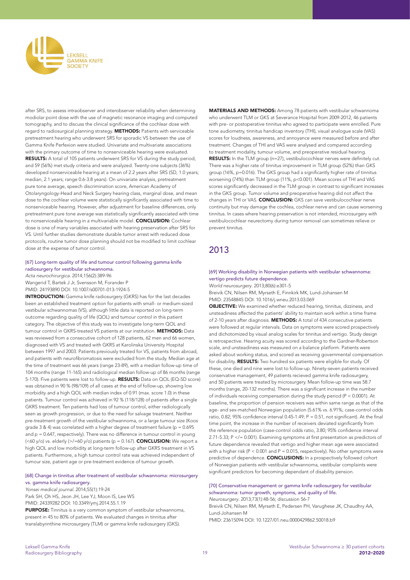

after SRS, to assess intraobserver and interobserver reliability when determining modiolar point dose with the use of magnetic resonance imaging and computed tomography, and to discuss the clinical significance of the cochlear dose with regard to radiosurgical planning strategy. **METHODS:** Patients with serviceable pretreatment hearing who underwent SRS for sporadic VS between the use of Gamma Knife Perfexion were studied. Univariate and multivariate associations with the primary outcome of time to nonserviceable hearing were evaluated. RESULTS: A total of 105 patients underwent SRS for VS during the study period, and 59 (56%) met study criteria and were analyzed. Twenty-one subjects (36%) developed nonserviceable hearing at a mean of 2.2 years after SRS (SD, 1.0 years; median, 2.1 years; range 0.6-3.8 years). On univariate analysis, pretreatment pure tone average, speech discrimination score, American Academy of Otolaryngology-Head and Neck Surgery hearing class, marginal dose, and mean dose to the cochlear volume were statistically significantly associated with time to nonserviceable hearing. However, after adjustment for baseline differences, only pretreatment pure tone average was statistically significantly associated with time to nonserviceable hearing in a multivariable model. **CONCLUSION:** Cochlear dose is one of many variables associated with hearing preservation after SRS for VS. Until further studies demonstrate durable tumor arrest with reduced dose protocols, routine tumor dose planning should not be modified to limit cochlear dose at the expense of tumor control.

## [67] Long-term quality of life and tumour control following gamma knife radiosurgery for vestibular schwannoma.

*Acta neurochirurgica*. 2014;156(2):389-96 Wangerid T, Bartek J Jr, Svensson M, Forander P

PMID: 24193890 DOI: 10.1007/s00701-013-1924-5

INTRODUCTION: Gamma knife radiosurgery (GKRS) has for the last decades been an established treatment option for patients with small- or medium-sized vestibular schwannomas (VS), although little data is reported on long-term outcome regarding quality of life (QOL) and tumour control in this patient category. The objective of this study was to investigate long-term QOL and tumour control in GKRS-treated VS patients at our institution. **METHODS:** Data was reviewed from a consecutive cohort of 128 patients, 62 men and 66 women, diagnosed with VS and treated with GKRS at Karolinska University Hospital between 1997 and 2003. Patients previously treated for VS, patients from abroad, and patients with neurofibromatosis were excluded from the study. Median age at the time of treatment was 66 years (range 23-89), with a median follow-up time of 104 months (range 11-165) and radiological median follow-up of 86 months (range 5-170). Five patients were lost to follow-up. RESULTS: Data on QOL (EQ-5D score) was obtained in 90 % (98/109) of all cases at the end of follow-up, showing low morbidity and a high QOL with median index of 0.91 (max. score 1.0) in these patients. Tumour control was achieved in 92 % (118/128) of patients after a single GKRS treatment. Ten patients had loss of tumour control, either radiologically seen as growth progression, or due to the need for salvage treatment. Neither pre-treatment growth of the vestibular schwannoma, or a large tumour size (Koos grade 3 & 4) was correlated with a higher degree of treatment failure ( $p = 0.695$ ) and  $p = 0.647$ , respectively). There was no difference in tumour control in young (<60 y/o) vs. elderly (>/=60 y/o) patients (p = 0.167). **CONCLUSION:** We report a high QOL and low morbidity at long-term follow-up after GKRS treatment in VS patients. Furthermore, a high tumour control rate was achieved independent of tumour size, patient age or pre-treatment evidence of tumour growth.

#### [68] Change in tinnitus after treatment of vestibular schwannoma: microsurgery vs. gamma knife radiosurgery.

Yonsei medical journal. 2014;55(1):19-24 Park SH, Oh HS, Jeon JH, Lee YJ, Moon IS, Lee WS PMID: 24339282 DOI: 10.3349/ymj.2014.55.1.19 PURPOSE: Tinnitus is a very common symptom of vestibular schwannoma,

present in 45 to 80% of patients. We evaluated changes in tinnitus after translabyrinthine microsurgery (TLM) or gamma knife radiosurgery (GKS). MATERIALS AND METHODS: Among 78 patients with vestibular schwannoma who underwent TLM or GKS at Severance Hospital from 2009-2012, 46 patients with pre- or postoperative tinnitus who agreed to participate were enrolled. Pure tone audiometry, tinnitus handicap inventory (THI), visual analogue scale (VAS) scores for loudness, awareness, and annoyance were measured before and after treatment. Changes of THI and VAS were analysed and compared according to treatment modality, tumour volume, and preoperative residual hearing. RESULTS: In the TLM group (n=27), vestibulocochlear nerves were definitely cut. There was a higher rate of tinnitus improvement in TLM group (52%) than GKS group (16%, p=0.016). The GKS group had a significantly higher rate of tinnitus worsening (74%) than TLM group (11%, p<0.001). Mean scores of THI and VAS scores significantly decreased in the TLM group in contrast to significant increases in the GKS group. Tumor volume and preoperative hearing did not affect the changes in THI or VAS. CONCLUSION: GKS can save vestibulocochlear nerve continuity but may damage the cochlea, cochlear nerve and can cause worsening tinnitus. In cases where hearing preservation is not intended, microsurgery with vestibulocochlear neurectomy during tumor removal can sometimes relieve or prevent tinnitus.

# 2013

#### [69] Working disability in Norwegian patients with vestibular schwannoma: vertigo predicts future dependence.

*World neurosurgery*. 2013;80(6):e301-5

Breivik CN, Nilsen RM, Myrseth E, Finnkirk MK, Lund-Johansen M PMID: 23548845 DOI: 10.1016/j.wneu.2013.03.069

OBJECTIVE: We examined whether reduced hearing, tinnitus, dizziness, and unsteadiness affected the patients' ability to maintain work within a time frame of 2-10 years after diagnosis. METHODS: A total of 434 consecutive patients were followed at regular intervals. Data on symptoms were scored prospectively and dichotomized by visual analog scales for tinnitus and vertigo. Study design is retrospective. Hearing acuity was scored according to the Gardner-Robertson scale, and unsteadiness was measured on a balance platform. Patients were asked about working status, and scored as receiving governmental compensation for disability. RESULTS: Two hundred six patients were eligible for study. Of these, one died and nine were lost to follow-up. Ninety-seven patients received conservative management, 49 patients recieved gamma knife radiosurgery, and 50 patients were treated by microsurgery. Mean follow-up time was 58.7 months (range, 20-132 months). There was a significant increase in the number of individuals receiving compensation during the study period (P < 0.0001). At baseline, the proportion of pension receivers was within same range as that of the age- and sex-matched Norwegian population (5.61% vs. 6.91%; case-control odds ratio, 0.82; 95% confidence interval 0.45-1.49;  $P = 0.51$ , not significant). At the final time point, the increase in the number of receivers deviated significantly from the reference population (case-control odds ratio, 3.80; 95% confidence interval 2.71-5.33; P </= 0.001). Examining symptoms at first presentation as predictors of future dependence revealed that vertigo and higher mean age were associated with a higher risk ( $P < 0.001$  and  $P = 0.015$ , respectively). No other symptoms were predictive of dependence. **CONCLUSIONS:** In a prospectively followed cohort of Norwegian patients with vestibular schwannoma, vestibular complaints were significant predictors for becoming dependant of disability pension.

#### [70] Conservative management or gamma knife radiosurgery for vestibular schwannoma: tumor growth, symptoms, and quality of life. *Neurosurgery*. 2013;73(1):48-56; discussion 56-7

Breivik CN, Nilsen RM, Myrseth E, Pedersen PH, Varughese JK, Chaudhry AA, Lund-Johansen M PMID: 23615094 DOI: 10.1227/01.neu.0000429862.50018.b9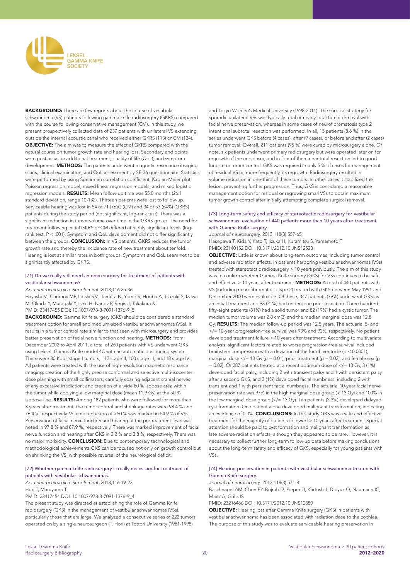

BACKGROUND: There are few reports about the course of vestibular schwannoma (VS) patients following gamma knife radiosurgery (GKRS) compared with the course following conservative management (CM). In this study, we present prospectively collected data of 237 patients with unilateral VS extending outside the internal acoustic canal who received either GKRS (113) or CM (124). OBJECTIVE: The aim was to measure the effect of GKRS compared with the natural course on tumor growth rate and hearing loss. Secondary end points were postinclusion additional treatment, quality of life (QoL), and symptom development. METHODS: The patients underwent magnetic resonance imaging scans, clinical examination, and QoL assessment by SF-36 questionnaire. Statistics were performed by using Spearman correlation coefficient, Kaplan-Meier plot, Poisson regression model, mixed linear regression models, and mixed logistic regression models. RESULTS: Mean follow-up time was 55.0 months (26.1) standard deviation, range 10-132). Thirteen patients were lost to follow-up. Serviceable hearing was lost in 54 of 71 (76%) (CM) and 34 of 53 (64%) (GKRS) patients during the study period (not significant, log-rank test). There was a significant reduction in tumor volume over time in the GKRS group. The need for treatment following initial GKRS or CM differed at highly significant levels (logrank test,  $P < 0.01$ ). Symptom and  $O_{\text{OL}}$  development did not differ significantly between the groups. CONCLUSION: In VS patients, GKRS reduces the tumor growth rate and thereby the incidence rate of new treatment about tenfold. Hearing is lost at similar rates in both groups. Symptoms and QoL seem not to be significantly affected by GKRS.

#### [71] Do we really still need an open surgery for treatment of patients with vestibular schwannomas?

Acta neurochirurgica. Supplement. 2013;116:25-36

Hayashi M, Chernov MF, Lipski SM, Tamura N, Yomo S, Horiba A, Tsuzuki S, Izawa M, Okada Y, Muragaki Y, Iseki H, Ivanov P, Regis J, Takakura K PMID: 23417455 DOI: 10.1007/978-3-7091-1376-9\_5

BACKGROUND: Gamma Knife surgery (GKS) should be considered a standard treatment option for small and medium-sized vestibular schwannomas (VSs). It results in a tumor control rate similar to that seen with microsurgery and provides better preservation of facial nerve function and hearing. METHODS: From December 2002 to April 2011, a total of 260 patients with VS underwent GKS using Leksell Gamma Knife model 4C with an automatic positioning system. There were 30 Koos stage I tumors, 112 stage II, 100 stage III, and 18 stage IV. All patients were treated with the use of high-resolution magnetic resonance imaging; creation of the highly precise conformal and selective multi-isocenter dose planning with small collimators, carefully sparing adjacent cranial nerves of any excessive irradiation; and creation of a wide 80 % isodose area within the tumor while applying a low marginal dose (mean 11.9 Gy) at the 50 % isodose line. RESULTS: Among 182 patients who were followed for more than 3 years after treatment, the tumor control and shrinkage rates were 98.4 % and 76.4 %, respectively. Volume reduction of >50 % was marked in 54.9 % of VSs. Preservation of facial nerve function and hearing at the pretreatment level was noted in 97.8 % and 87.9 %, respectively. There was marked improvement of facial nerve function and hearing after GKS in 2.2 % and 3.8 %, respectively. There was no major morbidity. **CONCLUSION:** Due to contemporary technological and methodological achievements GKS can be focused not only on growth control but on shrinking the VS, with possible reversal of the neurological deficit.

#### [72] Whether gamma knife radiosurgery is really necessary for treatment of patients with vestibular schwannomas.

Acta neurochirurgica. Supplement. 2013;116:19-23

Hori T, Maruyama T

PMID: 23417454 DOI: 10.1007/978-3-7091-1376-9\_4

The present study was directed at establishing the role of Gamma Knife radiosurgery (GKS) in the management of vestibular schwannomas (VSs), particularly those that are large. We analyzed a consecutive series of 222 tumors operated on by a single neurosurgeon (T. Hori) at Tottori University (1981-1998)

and Tokyo Women's Medical University (1998-2011). The surgical strategy for sporadic unilateral VSs was typically total or nearly total tumor removal with facial nerve preservation, whereas in some cases of neurofibromatosis type 2 intentional subtotal resection was performed. In all, 15 patients (8.6 %) in the series underwent GKS before (4 cases), after (9 cases), or before and after (2 cases) tumor removal. Overall, 211 patients (95 %) were cured by microsurgery alone. Of note, six patients underwent primary radiosurgery but were operated later on for regrowth of the neoplasm, and in four of them near-total resection led to good long-term tumor control. GKS was required in only 5 % of cases for management of residual VS or, more frequently, its regrowth. Radiosurgery resulted in volume reduction in one-third of these tumors. In other cases it stabilized the lesion, preventing further progression. Thus, GKS is considered a reasonable management option for residual or regrowing small VSs to obtain maximum tumor growth control after initially attempting complete surgical removal.

#### [73] Long-term safety and efficacy of stereotactic radiosurgery for vestibular schwannomas: evaluation of 440 patients more than 10 years after treatment with Gamma Knife surgery.

*Journal of neurosurgery*. 2013;118(3):557-65 Hasegawa T, Kida Y, Kato T, Iizuka H, Kuramitsu S, Yamamoto T PMID: 23140152 DOI: 10.3171/2012.10.JNS12523

OBJECTIVE: Little is known about long-term outcomes, including tumor control and adverse radiation effects, in patients harboring vestibular schwannomas (VSs) treated with stereotactic radiosurgery > 10 years previously. The aim of this study was to confirm whether Gamma Knife surgery (GKS) for VSs continues to be safe and effective  $> 10$  years after treatment. **METHODS:** A total of 440 patients with VS (including neurofibromatosis Type 2) treated with GKS between May 1991 and December 2000 were evaluable. Of these, 347 patients (79%) underwent GKS as an initial treatment and 93 (21%) had undergone prior resection. Three hundred fifty-eight patients (81%) had a solid tumor and 82 (19%) had a cystic tumor. The median tumor volume was 2.8 cm(3) and the median marginal dose was 12.8 Gy. RESULTS: The median follow-up period was 12.5 years. The actuarial 5- and >/= 10-year progression-free survival was 93% and 92%, respectively. No patient developed treatment failure > 10 years after treatment. According to multivariate analysis, significant factors related to worse progression-free survival included brainstem compression with a deviation of the fourth ventricle ( $p < 0.0001$ ), marginal dose  $\lt$ /= 13 Gy (p = 0.01), prior treatment (p = 0.02), and female sex (p  $= 0.02$ ). Of 287 patients treated at a recent optimum dose of  $\lt$ /= 13 Gy, 3 (1%) developed facial palsy, including 2 with transient palsy and 1 with persistent palsy after a second GKS, and 3 (1%) developed facial numbness, including 2 with transient and 1 with persistent facial numbness. The actuarial 10-year facial nerve preservation rate was 97% in the high marginal dose group (> 13 Gy) and 100% in the low marginal dose group (</= 13 Gy). Ten patients (2.3%) developed delayed cyst formation. One patient alone developed malignant transformation, indicating an incidence of 0.3%. **CONCLUSIONS:** In this study GKS was a safe and effective treatment for the majority of patients followed > 10 years after treatment. Special attention should be paid to cyst formation and malignant transformation as late adverse radiation effects, although they appeared to be rare. However, it is necessary to collect further long-term follow-up data before making conclusions about the long-term safety and efficacy of GKS, especially for young patients with  $VSc$ 

#### [74] Hearing preservation in patients with vestibular schwannoma treated with Gamma Knife surgery.

*Journal of neurosurgery*. 2013;118(3):571-8

Baschnagel AM, Chen PY, Bojrab D, Pieper D, Kartush J, Didyuk O, Naumann IC, Maitz A, Grills IS

PMID: 23216466 DOI: 10.3171/2012.10.JNS12880

OBJECTIVE: Hearing loss after Gamma Knife surgery (GKS) in patients with vestibular schwannoma has been associated with radiation dose to the cochlea. The purpose of this study was to evaluate serviceable hearing preservation in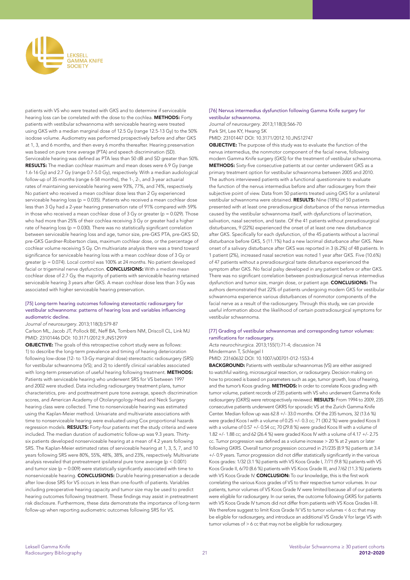

patients with VS who were treated with GKS and to determine if serviceable hearing loss can be correlated with the dose to the cochlea. METHODS: Forty patients with vestibular schwannoma with serviceable hearing were treated using GKS with a median marginal dose of 12.5 Gy (range 12.5-13 Gy) to the 50% isodose volume. Audiometry was performed prospectively before and after GKS at 1, 3, and 6 months, and then every 6 months thereafter. Hearing preservation was based on pure tone average (PTA) and speech discrimination (SD). Serviceable hearing was defined as PTA less than 50 dB and SD greater than 50%. RESULTS: The median cochlear maximum and mean doses were 6.9 Gy (range 1.6-16 Gy) and 2.7 Gy (range 0.7-5.0 Gy), respectively. With a median audiological follow-up of 35 months (range 6-58 months), the 1-, 2-, and 3-year actuarial rates of maintaining serviceable hearing were 93%, 77%, and 74%, respectively. No patient who received a mean cochlear dose less than 2 Gy experienced serviceable hearing loss (p = 0.035). Patients who received a mean cochlear dose less than 3 Gy had a 2-year hearing preservation rate of 91% compared with 59% in those who received a mean cochlear dose of  $3$  Gy or greater (p = 0.029). Those who had more than 25% of their cochlea receiving 3 Gy or greater had a higher rate of hearing loss ( $p = 0.030$ ). There was no statistically significant correlation between serviceable hearing loss and age, tumor size, pre-GKS PTA, pre-GKS SD, pre-GKS Gardner-Robertson class, maximum cochlear dose, or the percentage of cochlear volume receiving 5 Gy. On multivariate analysis there was a trend toward significance for serviceable hearing loss with a mean cochlear dose of 3 Gy or greater (p = 0.074). Local control was 100% at 24 months. No patient developed facial or trigeminal nerve dysfunction. **CONCLUSIONS:** With a median mean cochlear dose of 2.7 Gy, the majority of patients with serviceable hearing retained serviceable hearing 3 years after GKS. A mean cochlear dose less than 3 Gy was associated with higher serviceable hearing preservation.

#### [75] Long-term hearing outcomes following stereotactic radiosurgery for vestibular schwannoma: patterns of hearing loss and variables influencing audiometric decline.

*Journal of neurosurgery*. 2013;118(3):579-87

Carlson ML, Jacob JT, Pollock BE, Neff BA, Tombers NM, Driscoll CL, Link MJ PMID: 23101446 DOI: 10.3171/2012.9.JNS12919

OBJECTIVE: The goals of this retrospective cohort study were as follows: 1) to describe the long-term prevalence and timing of hearing deterioration following low-dose (12- to 13-Gy marginal dose) stereotactic radiosurgery (SRS) for vestibular schwannoma (VS); and 2) to identify clinical variables associated with long-term preservation of useful hearing following treatment. METHODS: Patients with serviceable hearing who underwent SRS for VS between 1997 and 2002 were studied. Data including radiosurgery treatment plans, tumor characteristics, pre- and posttreatment pure tone average, speech discrimination scores, and American Academy of Otolaryngology-Head and Neck Surgery hearing class were collected. Time to nonserviceable hearing was estimated using the Kaplan-Meier method. Univariate and multivariate associations with time to nonserviceable hearing were evaluated using Cox proportional hazards regression models. RESULTS: Forty-four patients met the study criteria and were included. The median duration of audiometric follow-up was 9.3 years. Thirtysix patients developed nonserviceable hearing at a mean of 4.2 years following SRS. The Kaplan-Meier estimated rates of serviceable hearing at 1, 3, 5, 7, and 10 years following SRS were 80%, 55%, 48%, 38%, and 23%, respectively. Multivariate analysis revealed that pretreatment ipsilateral pure tone average (p < 0.001) and tumor size ( $p = 0.009$ ) were statistically significantly associated with time to nonserviceable hearing. CONCLUSIONS: Durable hearing preservation a decade after low-dose SRS for VS occurs in less than one-fourth of patients. Variables including preoperative hearing capacity and tumor size may be used to predict hearing outcomes following treatment. These findings may assist in pretreatment risk disclosure. Furthermore, these data demonstrate the importance of long-term follow-up when reporting audiometric outcomes following SRS for VS.

#### [76] Nervus intermedius dysfunction following Gamma Knife surgery for vestibular schwannoma.

*Journal of neurosurgery*. 2013;118(3):566-70 Park SH, Lee KY, Hwang SK PMID: 23101447 DOI: 10.3171/2012.10.JNS12747

OBJECTIVE: The purpose of this study was to evaluate the function of the nervus intermedius, the nonmotor component of the facial nerve, following modern Gamma Knife surgery (GKS) for the treatment of vestibular schwannoma. METHODS: Sixty-five consecutive patients at our center underwent GKS as a primary treatment option for vestibular schwannoma between 2005 and 2010. The authors interviewed patients with a functional questionnaire to evaluate the function of the nervus intermedius before and after radiosurgery from their subjective point of view. Data from 50 patients treated using GKS for a unilateral vestibular schwannoma were obtained. RESULTS: Nine (18%) of 50 patients presented with at least one preradiosurgical disturbance of the nervus intermedius caused by the vestibular schwannoma itself, with dysfunctions of lacrimation, salivation, nasal secretion, and taste. Of the 41 patients without preradiosurgical disturbances, 9 (22%) experienced the onset of at least one new disturbance after GKS. Specifically for each dysfunction, of the 45 patients without a lacrimal disturbance before GKS, 5 (11.1%) had a new lacrimal disturbance after GKS. New onset of a salivary disturbance after GKS was reported in 3 (6.2%) of 48 patients. In 1 patient (2%), increased nasal secretion was noted 1 year after GKS. Five (10.6%) of 47 patients without a preradiosurgical taste disturbance experienced the symptom after GKS. No facial palsy developed in any patient before or after GKS. There was no significant correlation between postradiosurgical nervus intermedius dysfunction and tumor size, margin dose, or patient age. CONCLUSIONS: The authors demonstrated that 22% of patients undergoing modern GKS for vestibular schwannoma experience various disturbances of nonmotor components of the facial nerve as a result of the radiosurgery. Through this study, we can provide useful information about the likelihood of certain postradiosurgical symptoms for vestibular schwannoma.

#### [77] Grading of vestibular schwannomas and corresponding tumor volumes: ramifications for radiosurgery.

*Acta neurochirurgica*. 2013;155(1):71-4; discussion 74 Mindermann T, Schlegel I

PMID: 23160632 DOI: 10.1007/s00701-012-1553-4

BACKGROUND: Patients with vestibular schwannomas (VS) are either assigned to watchful waiting, microsurgical resection, or radiosurgery. Decision making on how to proceed is based on parameters such as age, tumor growth, loss of hearing, and the tumor's Koos grading. METHODS: In order to correlate Koos grading with tumor volume, patient records of 235 patients with VS who underwent Gamma Knife radiosurgery (GKRS) were retrospectively reviewed. RESULTS: From 1994 to 2009, 235 consecutive patients underwent GKRS for sporadic VS at the Zurich Gamma Knife Center. Median follow up was 62.8 +/- 33.0 months. Of the 235 tumors, 32 (13.6 %) were graded Koos I with a volume of 0.25 +/- 0.3 cc; 71 (30.2 %) were graded Koos II with a volume of 0.57 +/- 0.54 cc; 70 (29.8 %) were graded Koos III with a volume of 1.82 +/- 1.88 cc; and 62 (26.4 %) were graded Koos IV with a volume of 4.17 +/- 2.75 cc. Tumor progression was defined as a volume increase > 20 % at 2 years or later following GKRS. Overall tumor progression occurred in 21/235 (8.9 %) patients at 3.4 +/- 0.9 years. Tumor progression did not differ statistically significantly in the various Koos grades: 1/32 (3.1 %) patients with VS Koos Grade I, 7/71 (9.8 %) patients with VS Koos Grade II, 6/70 (8.6 %) patients with VS Koos Grade III, and 7/62 (11.3 %) patients with VS Koos Grade IV. CONCLUSION: To our knowledge, this is the first work correlating the various Koos grades of VS to their respective tumor volumes. In our patients, tumor volumes of VS Koos Grade IV were limited because all of our patients were eligible for radiosurgery. In our series, the outcome following GKRS for patients with VS Koos Grade IV tumors did not differ from patients with VS Koos Grades I-III. We therefore suggest to limit Koos Grade IV VS to tumor volumes < 6 cc that may be eligible for radiosurgery, and introduce an additional VS Grade V for large VS with tumor volumes of > 6 cc that may not be eligible for radiosurgery.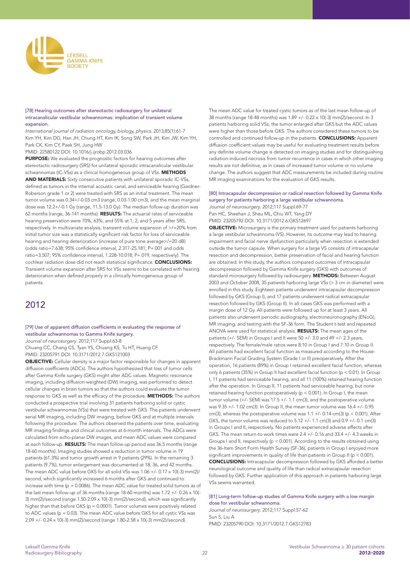

#### [78] Hearing outcomes after stereotactic radiosurgery for unilateral intracanalicular vestibular schwannomas: implication of transient volume expansion.

International journal of radiation oncology, biology, physics. 2013;85(1):61-7 Kim YH, Kim DG, Han JH, Chung HT, Kim IK, Song SW, Park JH, Kim JW, Kim YH, Park CK, Kim CY, Paek SH, Jung HW

PMID: 22580122 DOI: 10.1016/j.ijrobp.2012.03.036

PURPOSE: We evaluated the prognostic factors for hearing outcomes after stereotactic radiosurgery (SRS) for unilateral sporadic intracanalicular vestibular schwannomas (IC-VSs) as a clinical homogeneous group of VSs. METHODS AND MATERIALS: Sixty consecutive patients with unilateral sporadic IC-VSs, defined as tumors in the internal acoustic canal, and serviceable hearing (Gardner-Roberson grade 1 or 2) were treated with SRS as an initial treatment. The mean tumor volume was 0.34+/-0.03 cm3 (range, 0.03-1.00 cm3), and the mean marginal dose was 12.2+/-0.1 Gy (range, 11.5-13.0 Gy). The median follow-up duration was 62 months (range, 36-141 months). RESULTS: The actuarial rates of serviceable hearing preservation were 70%, 63%, and 55% at 1, 2, and 5 years after SRS, respectively. In multivariate analysis, transient volume expansion of >/=20% from initial tumor size was a statistically significant risk factor for loss of serviceable hearing and hearing deterioration (increase of pure tone average>/=20 dB) (odds ratio=7.638; 95% confidence interval, 2.317-25.181; P=.001 and odds ratio=3.507; 95% confidence interval, 1.228-10.018; P=.019, respectively). The cochlear radiation dose did not reach statistical significance. CONCLUSIONS: Transient volume expansion after SRS for VSs seems to be correlated with hearing deterioration when defined properly in a clinically homogeneous group of patients.

# 2012

#### [79] Use of apparent diffusion coefficients in evaluating the response of vestibular schwannomas to Gamma Knife surgery. *Journal of neurosurgery*. 2012;117 Suppl:63-8

Chuang CC, Chang CS, Tyan YS, Chuang KS, Tu HT, Huang CF PMID: 23205791 DOI: 10.3171/2012.7.GKS121003

OBJECTIVE: Cellular density is a major factor responsible for changes in apparent diffusion coefficients (ADCs). The authors hypothesized that loss of tumor cells after Gamma Knife surgery (GKS) might alter ADC values. Magnetic resonance imaging, including diffusion-weighted (DW) imaging, was performed to detect cellular changes in brain tumors so that the authors could evaluate the tumor response to GKS as well as the efficacy of the procedure. METHODS: The authors conducted a prospective trial involving 31 patients harboring solid or cystic vestibular schwannomas (VSs) that were treated with GKS. The patients underwent serial MR imaging, including DW imaging, before GKS and at multiple intervals following the procedure. The authors observed the patients over time, evaluating MR imaging findings and clinical outcomes at 6-month intervals. The ADCs were calculated from echo-planar DW images, and mean ADC values were compared at each follow-up. RESULTS: The mean follow-up period was 36.5 months (range 18-60 months). Imaging studies showed a reduction in tumor volume in 19 patients (61.3%) and tumor growth arrest in 9 patients (29%). In the remaining 3 patients (9.7%), tumor enlargement was documented at 18, 36, and 42 months. The mean ADC value before GKS for all solid VSs was 1.06 +/- 0.17 x 10(-3) mm(2)/ second, which significantly increased 6 months after GKS and continued to increase with time ( $p = 0.0086$ ). The mean ADC value for treated solid tumors as of the last mean follow-up of 36 months (range 18-60 months) was 1.72 +/- 0.26 x 10(- 3) mm(2)/second (range 1.50-2.09 x 10(-3) mm(2)/second), which was significantly higher than that before GKS (p = 0.0001). Tumor volumes were positively related to ADC values (p = 0.03). The mean ADC value before GKS for all cystic VSs was 2.09 +/- 0.24 x 10(-3) mm(2)/second (range 1.80-2.58 x 10(-3) mm(2)/second).

The mean ADC value for treated cystic tumors as of the last mean follow-up of 38 months (range 18-48 months) was 1.89 +/- 0.22 x 10(-3) mm(2)/second. In 3 patients harboring solid VSs, the tumor enlarged after GKS but the ADC values were higher than those before GKS. The authors considered these tumors to be controlled and continued follow-up in the patients. CONCLUSIONS: Apparent diffusion coefficient values may be useful for evaluating treatment results before any definite volume change is detected on imaging studies and for distinguishing radiation-induced necrosis from tumor recurrence in cases in which other imaging results are not definitive, as in cases of increased tumor volume or no volume change. The authors suggest that ADC measurements be included during routine MR imaging examinations for the evaluation of GKS results.

## [80] Intracapsular decompression or radical resection followed by Gamma Knife surgery for patients harboring a large vestibular schwannoma.

*Journal of neurosurgery*. 2012;117 Suppl:69-77 Pan HC, Sheehan J, Sheu ML, Chiu WT, Yang DY PMID: 23205792 DOI: 10.3171/2012.6.GKS12697

**OBJECTIVE:** Microsurgery is the primary treatment used for patients harboring a large vestibular schwannoma (VS). However, its outcome may lead to hearing impairment and facial nerve dysfunction particularly when resection is extended outside the tumor capsule. When surgery for a large VS consists of intracapsular resection and decompression, better preservation of facial and hearing function are obtained. In this study, the authors compared outcomes of intracapsular decompression followed by Gamma Knife surgery (GKS) with outcomes of standard microsurgery followed by radiosurgery. METHODS: Between August 2003 and October 2008, 35 patients harboring large VSs (> 3 cm in diameter) were enrolled in this study. Eighteen patients underwent intracapsular decompression followed by GKS (Group I), and 17 patients underwent radical extracapsular resection followed by GKS (Group II). In all cases GKS was performed with a margin dose of 12 Gy. All patients were followed up for at least 3 years. All patients also underwent periodic audiography, electroneuronography (ENoG), MR imaging, and testing with the SF-36 form. The Student t-test and repeated ANOVA were used for statistical analysis. RESULTS: The mean ages of the patients (+/- SEM) in Groups I and II were 50 +/- 3.0 and 49 +/- 2.3 years, respectively. The female/male ratios were 8:10 in Group I and 7:10 in Group II. All patients had excellent facial function as measured according to the House-Brackmann Facial Grading System (Grade I or II) preoperatively. After the operation, 16 patients (89%) in Group I retained excellent facial function, whereas only 6 patients (35%) in Group II had excellent facial function (p < 0.01). In Group I, 11 patients had serviceable hearing, and all 11 (100%) retained hearing function after the operation. In Group II, 11 patients had serviceable hearing, but none retained hearing function postoperatively (p < 0.001). In Group I, the mean tumor volume (+/- SEM) was 17.5 +/- 1.1 cm(3), and the postoperative volume was 9.35 +/- 1.02 cm(3). In Group II, the mean tumor volume was 16.4 +/- 0.95 cm(3), whereas the postoperative volume was  $1.1 + (-0.14 \text{ cm}(3)$  (p < 0.001). After GKS, the tumor volume was reduced to 5.12 +/- 1.1 cm(3) and 0.9 +/- 0.1 cm(3) in Groups I and II, respectively. No patients experienced adverse effects after GKS. The mean return-to-work times were 2.4 +/- 0.16 and 33.4 +/- 4.3 weeks in Groups I and II, respectively (p < 0.001). According to the results obtained using the 36-Item Short Form Health Survey (SF-36), patients in Group I enjoyed more significant improvements in quality of life than patients in Group II (p < 0.001). CONCLUSIONS: Intracapsular decompression followed by GKS afforded a better neurological outcome and quality of life than radical extracapsular resection followed by GKS. Further application of this approach in patients harboring large VSs seems warranted.

[81] Long-term follow-up studies of Gamma Knife surgery with a low margin dose for vestibular schwannoma.

*Journal of neurosurgery*. 2012;117 Suppl:57-62 Sun S, Liu A PMID: 23205790 DOI: 10.3171/2012.7.GKS12783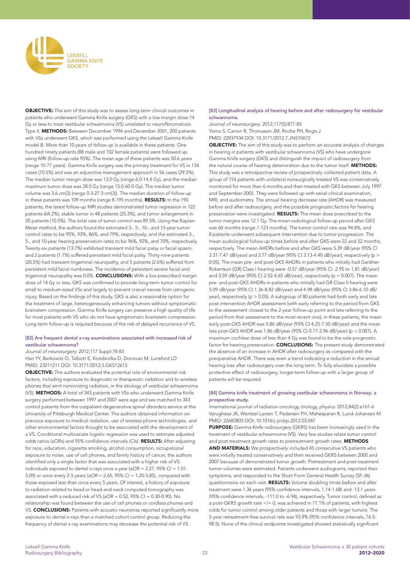

OBJECTIVE: The aim of this study was to assess long-term clinical outcomes in patients who underwent Gamma Knife surgery (GKS) with a low margin dose-14 Gy or less-to treat vestibular schwannoma (VS) unrelated to neurofibromatosis Type II. METHODS: Between December 1994 and December 2001, 200 patients with VSs underwent GKS, which was performed using the Leksell Gamma Knife model B. More than 10 years of follow-up is available in these patients. One hundred ninety patients (88 male and 102 female patients) were followed up using MRI (follow-up rate 95%). The mean age of these patients was 50.6 years (range 10-77 years). Gamma Knife surgery was the primary treatment for VS in 134 cases (70.5%) and was an adjunctive management approach in 56 cases (29.5%). The median tumor margin dose was 13.0 Gy (range 6.0-14.4 Gy), and the median maximum tumor dose was 28.0 Gy (range 15.0-60.0 Gy). The median tumor volume was 3.6 cm(3) (range 0.3-27.3 cm(3)). The median duration of follow-up in these patients was 109 months (range 8-195 months). RESULTS: In the 190 patients, the latest follow-up MRI studies demonstrated tumor regression in 122 patients (64.2%), stable tumor in 48 patients (25.3%), and tumor enlargement in 20 patients (10.5%). The total rate of tumor control was 89.5%. Using the Kaplan-Meier method, the authors found the estimated 3-, 5-, 10-, and 15-year tumor control rates to be 95%, 93%, 86%, and 79%, respectively; and the estimated 3-, 5-, and 10-year hearing preservation rates to be 96%, 92%, and 70%, respectively. Twenty-six patients (13.7%) exhibited transient mild facial palsy or facial spasm, and 2 patients (1.1%) suffered persistent mild facial palsy. Thirty-nine patients (20.5%) had transient trigeminal neuropathy, and 5 patients (2.6%) suffered from persistent mild facial numbness. The incidence of persistent severe facial and trigeminal neuropathy was 0.0%. **CONCLUSIONS:** With a low prescribed margin dose of 14 Gy or less, GKS was confirmed to provide long-term tumor control for small to medium-sized VSs and largely to prevent cranial nerves from iatrogenic injury. Based on the findings of this study, GKS is also a reasonable option for the treatment of large, heterogeneously enhancing tumors without symptomatic brainstem compression. Gamma Knife surgery can preserve a high quality of life for most patients with VS who do not have symptomatic brainstem compression. Long-term follow-up is required because of the risk of delayed recurrence of VS.

#### [82] Are frequent dental x-ray examinations associated with increased risk of vestibular schwannoma?

#### *Journal of neurosurgery*. 2012;117 Suppl:78-83

Han YY, Berkowitz O, Talbott E, Kondziolka D, Donovan M, Lunsford LD PMID: 23211211 DOI: 10.3171/2012.5.GKS12615

**OBJECTIVE:** The authors evaluated the potential role of environmental risk factors, including exposure to diagnostic or therapeutic radiation and to wireless phones that emit nonionizing radiation, in the etiology of vestibular schwannoma (VS). METHODS: A total of 343 patients with VSs who underwent Gamma Knife surgery performed between 1997 and 2007 were age and sex matched to 343 control patients from the outpatient degenerative spinal disorders service at the University of Pittsburgh Medical Center. The authors obtained information on previous exposure to medical radiation, use of wireless phone technologies, and other environmental factors thought to be associated with the development of a VS. Conditional multivariate logistic regression was used to estimate adjusted odds ratios (aORs) and 95% confidence intervals (CIs). **RESULTS:** After adjusting for race, education, cigarette smoking, alcohol consumption, occupational exposure to noise, use of cell phones, and family history of cancer, the authors identified only a single factor that was associated with a higher risk of VS: individuals exposed to dental x-rays once a year (aOR = 2.27, 95% CI = 1.01- 5.09) or once every 2-5 years (aOR = 2.65, 95% CI = 1.20-5.85), compared with those exposed less than once every 5 years. Of interest, a history of exposure to radiation related to head or head-and-neck computed tomography was associated with a reduced risk of VS (aOR = 0.52, 95% CI = 0.30-0.90). No relationship was found between the use of cell phones or cordless phones and VS. **CONCLUSIONS:** Patients with acoustic neuromas reported significantly more exposure to dental x-rays than a matched cohort control group. Reducing the frequency of dental x-ray examinations may decrease the potential risk of VS.

#### [83] Longitudinal analysis of hearing before and after radiosurgery for vestibular schwannoma.

*Journal of neurosurgery*. 2012;117(5):877-85 Yomo S, Carron R, Thomassin JM, Roche PH, Regis J PMID: 22937934 DOI: 10.3171/2012.7.JNS10672

**OBJECTIVE:** The aim of this study was to perform an accurate analysis of changes in hearing in patients with vestibular schwannoma (VS) who have undergone Gamma Knife surgery (GKS) and distinguish the impact of radiosurgery from the natural course of hearing deterioration due to the tumor itself. METHODS: This study was a retrospective review of prospectively collected patient data. A group of 154 patients with unilateral nonsurgically treated VS was conservatively monitored for more than 6 months and then treated with GKS between July 1997 and September 2005. They were followed up with serial clinical examination, MRI, and audiometry. The annual hearing decrease rate (AHDR) was measured before and after radiosurgery, and the possible prognostic factors for hearing preservation were investigated. RESULTS: The mean dose prescribed to the tumor margins was 12.1 Gy. The mean radiological follow-up period after GKS was 60 months (range 7-123 months). The tumor control rate was 94.8%, and 8 patients underwent subsequent intervention due to tumor progression. The mean audiological follow-up times before and after GKS were 22 and 52 months, respectively. The mean AHDRs before and after GKS were 5.39 dB/year (95% CI 3.31-7.47 dB/year) and 3.77 dB/year (95% CI 3.13-4.40 dB/year), respectively (p > 0.05). The mean pre- and post-GKS AHDRs in patients who initially had Gardner-Robertson (GR) Class I hearing were -0.57 dB/year (95% CI -2.95 to 1.81 dB/year) and 3.59 dB/year (95% CI 2.52-4.65 dB/year), respectively (p = 0.007). The mean pre- and post-GKS AHDRs in patients who initially had GR Class II hearing were 5.09 dB/year (95% CI 1.36-8.82 dB/year) and 4.98 dB/year (95% CI 3.86-6.10 dB/ year), respectively (p > 0.05). A subgroup of 80 patients had both early and late post-intervention AHDR assessment (with early referring to the period from GKS to the assessment closest to the 2-year follow-up point and late referring to the period from that assessment to the most recent one); in these patients, the mean early post-GKS AHDR was 5.86 dB/year (95% CI 4.25-7.50 dB/year) and the mean late post-GKS AHDR was 1.86 dB/year (95% CI 0.77-2.96 dB/year) (p < 0.001). A maximum cochlear dose of less than 4 Gy was found to be the sole prognostic factor for hearing preservation. CONCLUSIONS: The present study demonstrated the absence of an increase in AHDR after radiosurgery as compared with the preoperative AHDR. There was even a trend indicating a reduction in the annual hearing loss after radiosurgery over the long term. To fully elucidate a possible protective effect of radiosurgery, longer-term follow-up with a larger group of patients will be required.

#### [84] Gamma knife treatment of growing vestibular schwannoma in Norway: a prospective study.

International journal of radiation oncology, biology, physics. 2012;84(2):e161-6 Varughese JK, Wentzel-Larsen T, Pedersen PH, Mahesparan R, Lund-Johansen M PMID: 22682805 DOI: 10.1016/j.ijrobp.2012.03.047

PURPOSE: Gamma Knife radiosurgery (GKRS) has been increasingly used in the treatment of vestibular schwannoma (VS). Very few studies relate tumor control and post-treatment growth rates to pretreatment growth rates. METHODS AND MATERIALS: We prospectively included 45 consecutive VS patients who were initially treated conservatively and then received GKRS between 2000 and 2007 because of demonstrated tumor growth. Pretreatment and post-treatment tumor volumes were estimated. Patients underwent audiograms, reported their symptoms, and responded to the Short Form General Health Survey (SF-36) questionnaire on each visit. RESULTS: Volume doubling times before and after treatment were 1.36 years (95% confidence intervals, 1.14-1.68) and -13.1 years (95% confidence intervals, -111.0 to -6.94), respectively. Tumor control, defined as a post-GKRS growth rate </= 0, was achieved in 71.1% of patients, with highest odds for tumor control among older patients and those with larger tumors. The 5-year retreatment-free survival rate was 93.9% (95% confidence intervals, 76.5- 98.5). None of the clinical endpoints investigated showed statistically significant